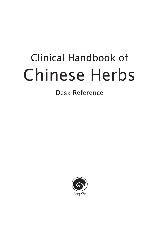# Clinical Handbook of Chinese Herbs

## Desk Reference

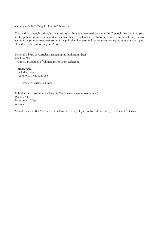Copyright © 2012 Pangolin Press (ePub version)

This work is copyright. All rights reserved. Apart from any permitted use under the Copyright Act 1968, no part of this publication may be reproduced, stored in a retrieval system, or transmitted in any form or by any means without the prior written permission of the publisher. Requests and inquiries concerning reproduction and rights should be addressed to Pangolin Press.

National Library of Australia Cataloguing-in-Publication data: Maclean, Will Clinical Handbook of Chinese Herbs: Desk Reference

Bibliography Includes Index ISBN: 978-0-9579720-2-5

1. Herbs 2. Medicine, Chinese

Published and distributed by Pangolin Press (www.pangolinpress.com.au). PO Box 44 Hazelbrook, 2779 Australia

Special thanks to Bill Maclean, Cherie Lawrence, Greg Doyle, Tohby Riddle, Kathryn Taylor and Al Green.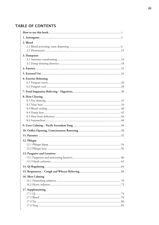## **TABLE OF CONTENTS**

| 2. Blood                    |  |
|-----------------------------|--|
|                             |  |
|                             |  |
| 3. Dampness                 |  |
|                             |  |
|                             |  |
|                             |  |
|                             |  |
| 6. Exterior Releasing       |  |
|                             |  |
|                             |  |
|                             |  |
| 8. Heat Clearing            |  |
|                             |  |
|                             |  |
|                             |  |
|                             |  |
|                             |  |
|                             |  |
|                             |  |
|                             |  |
|                             |  |
| 12. Phlegm                  |  |
|                             |  |
|                             |  |
| 13. Purgative and Laxatives |  |
|                             |  |
|                             |  |
|                             |  |
|                             |  |
| 16. Shen Calming            |  |
|                             |  |
| 17. Supplementing           |  |
|                             |  |
|                             |  |
|                             |  |
|                             |  |
|                             |  |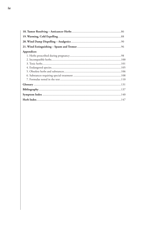| <b>Appendices</b> |  |
|-------------------|--|
|                   |  |
|                   |  |
|                   |  |
|                   |  |
|                   |  |
|                   |  |
|                   |  |
|                   |  |
|                   |  |
|                   |  |
|                   |  |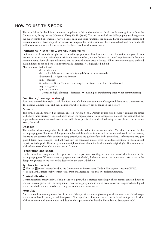### **HOW TO USE THIS BOOK**

The material in this book is a consensus compilation of six authoritative text books, with major guidance from the Chinese texts, *Zhong Yao Xue* (2000) and *Zhong Yao Xue* (1997). The texts consulted (see bibliography) usually agree on the major points, but sometimes vary on issues such as specific functions, the domain, flavor and nature, dosage and contraindications. I have adopted the consensus viewpoint for most attributes. I have retained old (and now outdated) indications, such as snakebite for example, for the sake of historical consistency.

#### **Indications**  $[\triangle$  used for;  $\triangle$  strongly indicated for]

Indications, read from left to right, are the specific symptoms or disorders a herb treats. Indications are graded from average to strong on the basis of emphasis in the texts consulted, and on the basis of clinical experience with the more common items. Some obscure indications may be omitted where space is limited. When two or more items are listed in an indications box and one item is particularly indicated, it is highlighted in bold.

Abbreviations: bld. = blood

 def. = deficiency def., cold = deficiency and/or cold (yang deficiency, or excess cold) dysenteric dis. = dysenteric disorder mm. = muscles Sp. = Spleen; Kid. = Kidney; Lu. = Lung; Liv. = Liver; Ht. = Heart; St. = Stomach stag. = stagnation synd. = syndrome 1 ascendant, high, elevated;  $\downarrow$  decreased;  $\rightarrow$  invading, or transforming into;  $\rightarrow$  not communicating

#### **Functions [o average; • strong]**

Functions are read from right to left. The functions of a herb are a summary of its general therapeutic characteristics. The original Chinese terms and their definitions, where necessary, can be found in the glossary.

#### **Domain**

This term is usually rendered as channels entered (*gui jing* 归经). Domain is used here because it conveys the target of the herb more precisely – ingested herbs act on the organ system, which incorporates not only the channel but the organ and associated tissues and structures as well. The organs listed are ordered following the five phases – metal, water, wood, fire, earth.

#### **Dosages**

The standard dosage range given is of dried herbs, in decoction, for an average adult. Variations are noted in the accompanying text. The issue of dosage is complex and depends on factors such as the age and weight of the patient, the nature and severity of the condition being treated, and the quality of the herbs themselves. Different texts may give quite different dosage ranges. This book stays with the consensus in most cases, with a few exceptions in which clinical experience is the guide. Doses are given in multiples of three, which ties the doses to the original *qian* 钱 measurement of the classic texts. One *qian* is equivalent to 3 grams.

#### **Preparation and usage**

If a herbs' action changes when it is processed, or if a particular cooking method is required, this is noted in the accompanying text. When no notes on preparation are included, the herb is used in the unprocessed dried state, in the dosage range noted in the text, and is decocted in the standard fashion.

#### **Symbols in the text**

Plant or  $\gamma$  animal species listed by the Convention on International Trade in Endangered Species (CITES).

† Formulae that traditionally contain items from endangered species and/or obsolete substances.

#### **Contraindications**

Contraindications are given first. If only a caution is given, this is prefaced accordingly. The consensus contraindications and cautions are given, with the exception of those during pregnancy, in which case a conservative approach is adopted and a contraindication is noted even if only one of the source texts asserts it.

#### **Formulae**

A selection of formulae representative of the herbs' therapeutic action are given to provide context to its clinical usage, and a sense of how frequently a herb is employed. The ingredients of formulae noted can be found in Appendix 7. Most of the formulae noted are common, and detailed descriptions can be found in Formulas and Strategies (2004).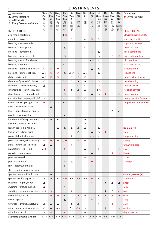## **1. ASTRINGENTS**

| $\Delta$ Indication<br>▲ Strong Indication<br>E External Use<br><b>E</b> Strong External Indication | Shan<br>Zhu<br>Yu<br>Щ<br>茱 | Fu<br>Pen<br>Zi<br>覆<br>盆 | Sang<br>Piao<br>Xiao<br>桑<br>螵 | Hai<br>Piao<br>Xiao<br>海<br>螵 | Jin<br>Ying<br>Ζi<br>金<br>樱 | Qian<br>Shi<br>芡<br>实  | Lian<br>Zi<br>莲<br>子 | Chun<br>Pi<br>椿<br>皮         | Ji<br>Hua<br>鸡<br>冠 | Ma<br><b>Guan Huang</b><br>Gen<br>麻<br>黄 | Fu<br>Xiao<br>Mai<br>浮<br>小 | <b>Nuo</b><br>Dao<br>Gen<br>Xu<br>糯稻 | $O$ Function<br>Strong Function |
|-----------------------------------------------------------------------------------------------------|-----------------------------|---------------------------|--------------------------------|-------------------------------|-----------------------------|------------------------|----------------------|------------------------------|---------------------|------------------------------------------|-----------------------------|--------------------------------------|---------------------------------|
| <b>INDICATIONS</b>                                                                                  | 萸                           | 子                         | 蛸                              | 蛸                             | 子                           |                        |                      |                              | 花                   | 根                                        | 麦                           | 根须                                   | <b>FUNCTIONS</b>                |
| acid reflux, heartburn                                                                              |                             |                           |                                | $\triangle$ O                 |                             |                        |                      |                              |                     |                                          |                             |                                      | alleviates gastric acidity      |
| appetite - loss of                                                                                  |                             |                           |                                |                               | $\circ$                     |                        | Δ                    | $\circ$                      | $\circ$             |                                          |                             |                                      | binds the Intestines            |
| bleeding - hematemesis                                                                              |                             | $\circ$                   |                                | Δ                             |                             |                        |                      |                              |                     |                                          |                             |                                      | brightens the eyes              |
| bleeding - hemoptysis                                                                               |                             |                           |                                | Δ                             |                             |                        | $\circ$              |                              |                     |                                          |                             |                                      | calms the shen                  |
| bleeding - hemorrhoids                                                                              |                             |                           |                                |                               |                             |                        |                      | $\circ$                      | Δ                   |                                          |                             |                                      | clears damp heat                |
| bleeding - rectal; def., cold                                                                       |                             |                           |                                | Δ                             |                             |                        |                      |                              | Δ                   |                                          | $\circ$                     | $\circ$                              | clears deficient heat           |
| bleeding - rectal, from heat#                                                                       |                             |                           |                                |                               |                             |                        |                      | $\triangle$ O                | Δ                   |                                          |                             |                                      | kills parasites                 |
| bleeding - traumatic                                                                                |                             |                           |                                | E O                           |                             |                        |                      |                              |                     |                                          |                             |                                      | promotes healing                |
| bleeding - uterine, from heat#                                                                      | $\circ$                     | $\circ$                   | $\bullet$                      |                               |                             |                        |                      | $\Delta$                     | $\blacktriangle$    |                                          |                             |                                      | restrains urine                 |
| bleeding - uterine, deficient                                                                       | $\triangle$ O               | $\circ$                   | $\circ$                        | Δ                             | $\triangle$ O               | $\circ$                | $\triangle$ O        |                              | ▲                   |                                          |                             |                                      | secures jing                    |
| diabetes (xiao ke)                                                                                  | $\triangle$ O               | $\circ$                   | $\circ$                        |                               | $\circ$                     | $\circ$                | $\circ$              |                              |                     |                                          |                             |                                      | stabilizes the Kidneys          |
| diarrhea - Spleen def., chronic                                                                     | $\circ$                     |                           |                                | $\triangle$ O                 | Δ                           | $\blacktriangle$       | Δ                    | $\circ$                      | $\circ$             |                                          |                             |                                      | stops bleeding                  |
| dizziness - Kidney deficiency                                                                       | Δ                           |                           |                                |                               | $\circ$                     | $\circ$                | $\circ$              | $\circ$                      | $\circ$             |                                          |                             |                                      | stops diarrhea                  |
| dysenteric dis. - chronic; def., cold                                                               |                             |                           |                                | $\bullet$                     | Δ                           | $\Delta$               | Δ                    |                              | $\triangle$ O       |                                          |                             |                                      | stops leukorrhea                |
| dysenteric dis. - chronic; heat#                                                                    | $\circ$                     |                           |                                | Δ                             |                             |                        |                      | $\blacktriangle$             | Δ                   | n a                                      | $\circ$                     | $\circ$                              | stops sweating                  |
| ears - tinnitus, ↓ hearing - Kid def.                                                               | Δ                           |                           |                                |                               |                             | $\circ$                | $\circ$              |                              |                     |                                          |                             |                                      | strengthens the Spleen          |
| eyes - corneal opacity, cataract                                                                    | $\bullet$                   | $\circ$                   | $\circ$                        | $\triangle E$                 |                             |                        |                      |                              |                     |                                          |                             |                                      | supplements the Kidneys         |
| eyes - weakness of vision                                                                           |                             | Δ                         |                                |                               |                             |                        |                      |                              |                     |                                          |                             |                                      |                                 |
| fever - bone steaming, yin def.                                                                     |                             |                           |                                |                               |                             |                        |                      |                              |                     |                                          | Δ                           | Δ                                    |                                 |
| gastritis - hyperacidity                                                                            |                             |                           |                                | $\blacktriangle$              |                             |                        |                      |                              |                     |                                          |                             |                                      |                                 |
| impotence - Kidney deficiency                                                                       | Δ                           | Δ                         | Δ                              |                               |                             |                        | Δ                    |                              |                     |                                          |                             |                                      |                                 |
| insomnia, anxiety - Ht. → Kid.                                                                      |                             |                           |                                |                               |                             |                        | ▲                    |                              |                     |                                          |                             |                                      |                                 |
| leukorrhea - Sp. & Kid. def.                                                                        |                             |                           | Δ                              | ▲                             | △                           |                        | Δ                    |                              | Δ                   |                                          |                             |                                      | Domain (※)                      |
| leukorrhea - damp heat#                                                                             |                             |                           |                                |                               |                             | Δ                      |                      | ▲                            | Δ                   | ÷                                        |                             |                                      | Lung                            |
| pain - abdominal, worms                                                                             |                             |                           |                                |                               | ÷                           |                        |                      | △◆                           | ÷                   |                                          |                             |                                      | Large Intestine                 |
| pain - epigastric, & hyperacidity                                                                   | ٠                           | ÷                         | ٠                              | △◆                            | ٠                           | ٠                      | ٠                    |                              |                     |                                          |                             |                                      | Kidney                          |
| pain - lower back, leg, knee                                                                        | $\Delta$                    | Δ                         |                                |                               | ٠                           |                        |                      |                              |                     |                                          |                             |                                      | <b>Urinary Bladder</b>          |
| palpitations - Ht. → Kid.                                                                           | △◆                          | ÷                         | ٠                              | ÷                             |                             |                        | ▲                    | $\sigma_{\rm eff}^{\rm th}$  | ÷                   |                                          |                             | ÷                                    | Liver                           |
| parasites - roundworms                                                                              |                             |                           |                                |                               |                             |                        | ÷                    | Δ                            |                     |                                          | ٠                           | ٠                                    | Heart                           |
| prolapse - rectal                                                                                   |                             |                           |                                |                               | Δ                           | ٠                      | ٠                    | E                            |                     |                                          |                             |                                      | Spleen                          |
| prolapse - uterine                                                                                  |                             |                           |                                | ÷                             | Δ                           |                        |                      | $\mathcal{L}_{\mathbf{c}^*}$ |                     |                                          |                             |                                      | Stomach                         |
| skin - eczema, dermatitis                                                                           |                             |                           |                                | E                             |                             |                        |                      | E                            |                     |                                          |                             |                                      |                                 |
| skin - scabies, ringworm, tinea                                                                     |                             |                           |                                |                               |                             |                        |                      | E                            |                     |                                          |                             |                                      |                                 |
| sperm - poor motility, ↓ count                                                                      |                             | $\Delta$                  |                                |                               |                             |                        |                      |                              |                     |                                          |                             |                                      | Flavour, nature (*)             |
| sperm - involuntary loss of                                                                         | $\Delta$                    | $\Delta$                  | $\Delta$                       | $\Delta \blacklozenge$        | $\blacktriangle$ +          | $\Delta \bullet$       | △◆                   | ٠                            | ۰                   |                                          |                             |                                      | astringent                      |
| sweating - night; yin def.                                                                          | Δ                           |                           |                                |                               |                             |                        |                      | ٠                            |                     | $\blacktriangle$                         | Δ                           | $\Delta$                             | bitter                          |
| sweating - profuse in shock                                                                         | ▲                           |                           | ۰                              | ٠                             |                             |                        |                      |                              |                     |                                          |                             |                                      | salty                           |
| sweating - spontaneous; qi def.                                                                     | △◆                          | $\bullet$                 |                                |                               | ۰                           |                        |                      |                              |                     | ▲                                        | Δ                           | $\Delta$                             | sour                            |
| ulcers - skin, chronic                                                                              |                             | ٠                         | ٠                              | E                             |                             | ۰                      | ٠                    |                              | ٠                   | ٠                                        | ٠                           | $\blacklozenge$                      | sweet                           |
| ulcers - gastric                                                                                    |                             |                           |                                | Δ                             |                             |                        |                      | ۰                            |                     |                                          |                             |                                      | cold                            |
| urination - enuresis, nocturia                                                                      | $\Delta$                    | $\Delta$                  | $\blacktriangle$               |                               | $\Delta$                    | $\Delta$               |                      |                              | ۰                   |                                          | $\ddot{\bullet}$            |                                      | cool                            |
| urine - frequency, incontinence                                                                     | Δ                           | $\blacktriangle$          | $\Delta \bullet$               |                               | $\Delta \bullet$            | $\Delta \blacklozenge$ | ٠                    |                              |                     | ٠                                        |                             | ٠                                    | neutral                         |
| urination - turbid                                                                                  | $\bullet$                   | ٠                         |                                | $\blacklozenge$               |                             | $\Delta$               | Δ                    |                              |                     |                                          |                             |                                      | slightly warm                   |
| Standard dosage range (g)                                                                           | $6 - 12$                    | $6 - 9$                   | $3 - 9$                        |                               | $6 - 12$ 6 – 18             | $9 - 15$               | $6 - 15$             | $6 - 9$                      | $6 - 15$            | $3 - 9$                                  |                             | $ 15 - 30 15 - 30 $                  |                                 |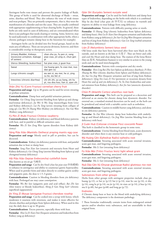Astringent herbs tone tissues and prevent the passive leakage of fluids. This group of herbs is used for abnormal discharge of fluids – sweat, urine, diarrhea and blood. They also enhance the tone of weak tissues and treat prolapse. They are primarily symptomatic, that is, they treat the manifestation of a disorder and not the cause. They are usually combined with appropriate supplementing or heat clearing herbs. In general, these herbs are only used in cases of deficiency, and are contraindicated when there is any pathogen that needs clearing or venting. Some, however, may be used judiciously in combination with other appropriate herbs, when a chronic pathogen remains (damp heat in the Intestines for example).

Astringent herbs can be divided into five broad groups, based on the main area of influence. These are not precise divisions, however, and there is considerable overlap in therapeutic action.

| Urinary Bladder, Kidneys<br>(excessive urination, leakage<br>of semen) | shan zhu yu, fu pen zi, sang<br>piao xiao, jin ying zi, chun gen<br>рi  |
|------------------------------------------------------------------------|-------------------------------------------------------------------------|
| Uterus (bleeding, leukorrhea)                                          | hai piao xiao, ji guan hua                                              |
| Sweat                                                                  | ma huang gen, fu xiao mai, nuo<br>dao gen xu                            |
| Lungs (chronic cough)                                                  | wu wei zi, wu mei, he zi, ying<br>su ke, wu bei zi                      |
| Intestines (chronic diarrhea)                                          | chi shi zhi, yu yu liang, shi liu<br>pi, rou dou kou, lian zi, qian shi |

#### Shān Zhū Yú (Corni Fructus) cornelian cherry fruit

**Preparation and usage** Up to 30 grams can be used for severe sweating or profuse urination.

**Contraindications** Damp heat and painful urination patterns.

**Formulae** *Gu Chong Tang* (uterine bleeding from Spleen qi and chongmai/renmai deficiency); *Jia Wei Si Wu Tang* (menorrhagia from Liver and Kidney deficiency); *Lai Fu Tang* (severe sweating from collapse of yang qi); *Liu Wei Di Huang Wan* (Kidney yin deficiency); *You Gui Wan* (Kidney yang deficiency)

#### Fù Pén Zǐ (Rubi Fructus) Chinese raspberry

**Contraindications** Kidney yin deficiency and blood deficiency patterns with heat, and in painful or difficult urination cases.

**Formulae** *Wu Zi Yan Zong Wan* (sperm disorders from Kidney deficiency)

Sāng Piāo Xiāo (Mantidis Ootheca) praying mantis egg case **Preparation and usage** Mostly used in pill or powders, but can be decocted.

**Contraindications** Kidney yin deficiency patterns with heat, and painful urination due to heat or damp heat.

**Formulae** *Sang Piao Xiao San* (enuresis and nocturia from Heart and Kidney deficiency); *Gu Chong Tang* (uterine bleeding from Spleen qi and chongmai/renmai deficiency)

#### Hǎi Piāo Xiāo (Sepiae Endoconcha) cuttlefish bone

Also known as wū zéi gŭ 乌贼骨.

**Preparation and usage** Can be dry fried (*chao hai piao xiao* 炒海螵蛸) to enhance its astringency and ability to counteract gastric hyperacidity. When used in powder form and taken directly to combat gastric acidity and epigastric pain, the dose is 1.5–3 grams.

**Contraindications** Caution in bleeding disorders from yin deficiency with heat. Prolonged use may cause constipation.

**Formulae** *Wu Bei San* (epigastric pain and acid reflux); *Bai Zhi San* (thin watery or bloody leukorrhea); *Sheng Ji Gan Nong San*† (chronic superficial suppuration)

#### Jīn Yīng Zǐ (Rosae laevigatae Fructus) cherokee rosehip

**Preparation and usage** Can be cooked into a syrup with honey, which moderates it sourness with sweetness, and makes it more effective for chronic diarrhea and prolapse from Spleen deficiency. When used in this way the daily dose is up to 30 grams.

**Contraindications** Excess patterns, especially those with heat.

**Formulae** *Shui Lu Er Xian Dan* (frequent urination and leukorrhea from Kidney yang qi deficiency)

#### Qiàn Shí (Euryales Semen) euryale seed

**Preparation and usage** Can be used for both deficient and damp heat types of leukorrhea, depending on the herbs with which it is combined. May be dry fried (*chao qian shi* 炒芡实) to enhance its warmth and improve its ability to treat leakage from yang deficiency.

**Contraindications** Patients with difficulty passing urine or stools.

**Formulae** *Yi Huang Tang* (chronic leukorrhea from Spleen deficiency and damp heat); *Shui Lu Er Xian Dan* (frequent urination and leukorrhea from Kidney yang qi deficiency); *Jin Suo Gu Jing Wan* (frequent urination and loss of jing from Kidney deficiency); *Gao Lin Tang* (turbid urination from Kidney deficiency)

#### Lián Zǐ (Nelumbinis Semen) lotus seed

Old lotus seeds that have been harvested after frost turn black on the outside, and are known as shí lián zĭ 石莲子. They are bitter and cold, and cool the Heart and clear damp heat. The stamen of the lotus flower (lián xū 莲须, Nelumbinis Stamen) is very similar in action to the young seeds and can be used interchangeably.

**Contraindications** Patients with constipation and dry stools.

**Formulae** *Shen Ling Bai Zhu San* (Spleen qi deficiency diarrhea); *Pi Shen Shuang Bu Wan* (chronic diarrhea from Spleen and Kidney deficiency); *Jin Suo Gu Jing Wan* (frequent urination and loss of jing from Kidney deficiency); *Qing Xin Lian Zi Yin* (persistent or recurrent dysuria from Heart fire and qi and yin deficiency); *Fu Tu Dan* (leukorrhea and seminal emission from Kidney deficiency); *Kai Jin San* (anorectic dysenteric disorder)

#### Chūn Pí (Ailanthi Cortex) ailanthus root bark

**Preparation and usage** This herb can be prepared as a decoction and delivered as an enema for chronic damp heat dysenteric disorder. For external use, a standard strained decoction can be used, or the herb can be powdered and mixed with a suitable carrier such as sorbolene.

**Contraindications** Caution in middle burner yang deficiency, and alone in yin deficiency patterns.

**Formulae** *Yu Dai Wan* (chronic damp heat leukorrhea with underlying qi and blood deficiency); *Gu Jing Wan* (uterine bleeding from yin deficiency with heat)

#### Jī Guān Huā (Celosiae cristatae Flos) coxcomb flower

This herb is classified in the hemostatic group in some texts.

**Contraindications** Uterine bleeding from blood stasis, acute dysenteric disorder and when there is any exterior heat or cold pathogen.

#### Má Huáng Gēn (Ephedrae Radix) ephedra root

**Contraindications** Sweating associated with acute external invasion, acute gan mao, and lingering pathogens.

**Formulae** *Mu Li San* (sweating from deficiency)

#### Fú Xiǎo Mài (Tritici Fructus levis) light wheat grain

**Contraindications** Sweating associated with acute external invasion, acute gan mao, and lingering pathogens.

**Formulae** *Mu Li San* (sweating from deficiency)

Nuò Dào Gēn Xū (Oryzae glutinosae Radix) glutinous rice root **Contraindications** Sweating associated with acute external invasion, acute gan mao, and lingering pathogens.

#### Substances from other groups

Herbs from other groups with astringent properties include chao pu huang (p.12), ce bai ye (p.12) bai ji (p.14), xian he cao (p.14), zi zhu (p.14), zong lu pi (p.14), ou jie (p.14), tie xian cai (p.14), ji hua (p.14), mu li (p.48), bai guo (p.68) and long gu (p.72).

#### Endnotes

# Chronic damp heat or heat in the blood with underlying deficiency. The deficiency component is the dominant pathology.

† These formulae traditionally contain items from endangered animal species and/or obsolete toxic substances, and are unavailable in their original form.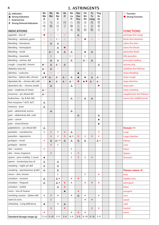## **1. ASTRINGENTS**

| $\triangle$ Indication<br>▲ Strong Indication<br>E External Use<br><b>E</b> Strong External Indication | Wu<br>Wei<br>Ζi<br>五<br>味 | Wu<br>Mei<br>乌<br>梅 | Wu<br>Bei<br>Zi<br>五<br>倍 | He<br>Zi<br>诃<br>子 | Shi<br>Liu<br>Pi<br>石<br>榴 | Rou<br>Dou<br>Kou<br>肉<br>豆 | Chi<br>Shi<br>Zhi<br>赤<br>石 | Yu<br>Yu<br>Liang<br>禹<br>余 | Ying<br>Su<br>Ke<br>罂<br>粟 | $\bigcirc$ Function<br>Strong Function |
|--------------------------------------------------------------------------------------------------------|---------------------------|---------------------|---------------------------|--------------------|----------------------------|-----------------------------|-----------------------------|-----------------------------|----------------------------|----------------------------------------|
| <b>INDICATIONS</b>                                                                                     | 子                         |                     | 子                         |                    | 皮                          | 蔻                           | 脂                           | 粮                           | 売                          | <b>FUNCTIONS</b>                       |
| appetite - loss of                                                                                     | O                         | $\circ$             | $\circ$                   | $\circ$            |                            | Δ                           |                             |                             | $\circ$                    | astringes the Lungs                    |
| bleeding - epistaxis, gums                                                                             | $\circ$                   | $\circ$             | E O                       | $\circ$            | $\circ$                    | $\bigcirc$                  |                             | $\circ$                     | $\bigcirc$                 | binds the Intestines                   |
| bleeding - hematuria                                                                                   | $\circ$                   | Δ                   | Δ                         |                    |                            |                             |                             |                             |                            | calms the shen                         |
| bleeding - hemoptysis                                                                                  |                           |                     | Δ                         | $\bullet$          |                            |                             |                             |                             |                            | eases the throat                       |
| bleeding - rectal                                                                                      | $\circ$                   | $\triangle$ O       | Δ                         | Δ                  | Δ                          |                             | ▲                           | Δ                           |                            | generates fluids                       |
| bleeding - traumatic                                                                                   |                           | E                   |                           |                    | E O                        |                             | Ε                           |                             |                            | kills parasites                        |
| bleeding - uterine, def.                                                                               |                           | Δ                   | $\Delta$                  |                    | $\Delta$                   |                             | $\triangle$ O               | $\Delta$                    |                            | promotes healing                       |
| cough - Lung def., chronic                                                                             | $\triangle$ O             | $\Delta$            | $\Delta$ O                | Δ                  |                            |                             |                             |                             | Δ                          | secures jing                           |
| diabetes (xiao ke)                                                                                     | $\triangle$ O             | Δ                   | $\circ$                   |                    |                            |                             |                             |                             |                            | stabilizes the Kidneys                 |
| diarrhea - cockcrow                                                                                    | $\blacktriangle$          | $\circ$             | $\circ$                   |                    |                            | ▲                           | $\circ$                     | $\circ$                     |                            | stops bleeding                         |
| diarrhea - Spleen def., chronic                                                                        | $\triangle$ $\bullet$     | $\triangle$ O       | $\triangle$ O             | $\triangle$ O      | Δ                          | ▲                           | ▲                           | $\Delta$                    | $\triangle$ O              | stops cough                            |
| dysenteric dis. - chronic; def., cold                                                                  | $\circ$                   | $\triangle$ O       | $\Delta$ O                | $\Delta$ O         | $\triangle$ O              | $\bullet$                   | A O                         | $\triangle$ O               | $\triangle$ O              | stops diarrhea                         |
| dysenteric dis. - chronic; heat#                                                                       |                           | Δ                   |                           |                    | Δ                          |                             |                             |                             |                            | stops pain                             |
| eyes - weakness of vision                                                                              | $\triangle$ O             |                     | $\circ$                   |                    |                            |                             |                             |                             |                            | stops sweating                         |
| insomnia - yin, blood def.                                                                             | $\triangle$ O             |                     |                           |                    |                            |                             |                             |                             |                            | supplements the Kidneys                |
| leukorrhea - Sp. & Kid. def.                                                                           |                           |                     |                           |                    | Δ                          | $\circ$                     | Δ                           | $\Delta$                    |                            | warms the middle burner                |
| liver enzymes 1 (AST, ALT)                                                                             | Δ                         |                     |                           |                    |                            |                             |                             |                             |                            |                                        |
| memory - poor                                                                                          | Δ                         |                     |                           |                    |                            |                             |                             |                             |                            |                                        |
| pain - abdominal; worms                                                                                |                           | $\Delta$            |                           |                    | Δ                          |                             |                             |                             |                            |                                        |
| pain - abdominal; def., cold                                                                           |                           |                     |                           |                    |                            | Δ                           |                             |                             | Δ                          |                                        |
| pain - cancer                                                                                          |                           |                     |                           |                    |                            |                             |                             |                             | ▲                          |                                        |
| pain - sinew & bone                                                                                    |                           |                     |                           |                    |                            |                             |                             |                             | ▲                          |                                        |
| palpitations - yin, blood def.                                                                         | Δ                         |                     |                           |                    |                            |                             |                             |                             |                            | Domain $(*)$                           |
| parasites - roundworms                                                                                 | ٠                         | ٠                   | ٠                         | ٠                  | Δ                          |                             |                             |                             | ٠                          | Lung                                   |
| parasites - tapeworms                                                                                  |                           | ÷                   | ٠                         | ٠                  | △◆                         | ÷                           | ٠                           | $\sigma_{\rm eff}^{\rm th}$ | ÷                          | Large Intestine                        |
| prolapse - rectal                                                                                      | ÷                         | Δ                   | $\triangle E$ $\Phi$      | $\Delta$           | Δ                          | $\Delta$                    | Δ                           |                             | △◆                         | Kidney                                 |
| prolapse - uterine                                                                                     |                           | ÷                   | E                         |                    |                            |                             |                             |                             |                            | Liver                                  |
| skin - eczema                                                                                          | ٠                         |                     |                           |                    | E                          |                             |                             |                             |                            | Heart                                  |
| skin - tinea, ringworm                                                                                 |                           | ÷                   |                           |                    | E                          | ÷                           |                             |                             |                            | Spleen                                 |
| sperm – poor motility, $\downarrow$ count                                                              | ▲                         |                     |                           |                    | ٠                          | ÷                           | ٠                           | $\sigma_{\rm eff}^{\rm th}$ |                            | Stomach                                |
| sperm - involuntary loss of                                                                            | Δ                         |                     | Δ                         |                    |                            |                             |                             |                             |                            |                                        |
| sweating - night; yin def.                                                                             | Δ                         |                     | Δ                         |                    |                            |                             |                             |                             |                            |                                        |
| sweating - spontaneous; qi def.                                                                        | $\Delta$                  |                     | Δ                         |                    |                            |                             |                             |                             |                            | Flavour, nature $($ $\blacklozenge)$   |
| ulcers - skin, chronic                                                                                 |                           |                     | E                         |                    |                            |                             | E                           |                             | ٠                          | toxic                                  |
| urination - enuresis                                                                                   | $\Delta$                  |                     | $\Delta$ $\bullet$        |                    | ٠                          | $\bullet$                   |                             |                             |                            | slightly toxic                         |
| urination - frequent                                                                                   | Δ                         |                     | △◆                        | ۰                  | ٠                          |                             | ۰                           | ۰                           | ٠                          | astringent                             |
| urination - turbid                                                                                     |                           |                     | Δ                         | $\ddot{\bullet}$   |                            |                             |                             |                             |                            | bitter                                 |
| voice - loss of, hoarse                                                                                |                           |                     |                           | ▲                  |                            | $\blacklozenge$             |                             |                             |                            | pungent                                |
| vomiting, nausea - Spleen def.                                                                         | ۰                         | ٠                   | ٠                         |                    | ۰                          | $\Delta$                    | ۰                           |                             | ۰                          | sour                                   |
| warts & corns                                                                                          |                           | E                   |                           |                    |                            |                             | ۰                           | $\ddot{\bullet}$            |                            | sweet                                  |
| wheezing - Lung deficiency                                                                             | ▲                         |                     | ۰                         | Δ                  |                            |                             |                             |                             |                            | cold                                   |
|                                                                                                        |                           | ۰                   |                           | $\blacklozenge$    |                            |                             |                             | ۰                           | ٠                          | neutral                                |
|                                                                                                        | ۰                         |                     |                           |                    | ۰                          | ۰                           | ۰                           |                             |                            | warm                                   |
| Standard dosage range (g)                                                                              |                           | $1.5 - 6$ 9 - 30    | $3 - 9$                   | $3 - 9$            | $3 - 9$                    | $3 - 9$                     | $9 - 18$                    | $9 - 18$                    | $3 - 9$                    |                                        |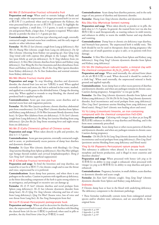#### Wǔ Wèi Zǐ (Schisandrae Fructus) schisandra fruit

**Preparation and usage** When used to restrain leakage of fluids and stop cough, either the unprocessed or vinegar processed herb (*cu wu wei zi* 醋五味子) is preferred; when used to supplement the Kidneys, the wine processed herb (*jiu wu wei zi* 酒五味子) is used. To highlight the astringent qualities, a small dose, 1.5–3 grams, is used; to supplement yin and generate fluids, a larger dose, 3–6 grams is required. When taken directly as powder the dose is 1–3 grams per day.

**Contraindications** Acute and heat type wheezing and cough, externally contracted cough, internal excess heat conditions, and the early stages of measles or other infectious rashes.

**Formulae** *Wu Wei Zi San* (chronic cough from Lung qi deficiency); *Mai Wei Di Huang Wan* (chronic cough from Lung yin deficiency); *Du Qi Wan* (chronic wheezing from Kidney not grasping qi); *Xiao Qing Long Tang* (wind cold with copious thin phlegm in the Lungs); *Sheng Mai San* (post febrile qi and yin deficiency); *Yu Ye Tang* (diabetes from yin deficiency); *Si Shen Wan* (chronic diarrhea from Spleen and Kidney yang deficiency); *Tian Wang Bu Xin Dan* (insomnia and shen disturbance from Heart and Kidney yin deficiency); *Wu Zi Yan Zong Wan* (sperm disorders from Kidney deficiency); *Fu Tu Dan* (leukorrhea and seminal emission from Kidney deficiency)

#### Wū Méi (Mume Fructus) mume plum

**Preparation and usage** To stop bleeding, diarrhea and dysenteric disorder, the charred fruit (*wu mei tan* 乌梅炭) is used. When applied externally to warts and corns, the fruit is softened in hot water, mashed, and applied on a sterile gauze to the debrided lesion. Change the dressing every day. When applied to wounds to stop bleeding, the charred and powdered herb is applied topically.

**Contraindications** Acute gan mao patterns, acute diarrhea and in internal excess heat and stagnation patterns.

**Formulae** *Wu Mei Wan* (jueyin syndrome; chronic diarrhea; abdominal pain from roundworms); *Gu Chang Wan*† (chronic diarrhea from Spleen and Kidney yang deficiency); *Di Yu Wan* (incessant bloody dysentery from heat); *Yu Quan Wan* (diabetes from yin deficiency); *Yi Fu San*† (chronic cough from Lung deficiency); *Ru Sheng San* (uterine bleeding from yang deficiency); *Qin Jiao Bie Jia Tang* (bone steaming fever and night sweats from yin deficiency)

#### Wǔ Bèi Zǐ (Galla Chinensis) gallnut of Chinese sumac

**Preparation and usage** When taken directly in pills and powders, the dose is  $1-1.5$  grams.

**Contraindications** Acute gan mao patterns, externally contracted cough, and in acute, or predominantly excess patterns of damp heat diarrhea and dysenteric disorder.

**Formulae** *Yu Guan Wan* (chronic diarrhea with bleeding); *Gu Chong Tang* (uterine bleeding from Spleen qi deficiency); *Han Hua Wan* (phlegm type benign thyroid nodules and cervical lymphadenopathy); *Sheng Ji Gan Nong San*† (chronic superficial suppuration)

#### Hē Zǐ (Chebulae Fructus) terminalia fruit

**Preparation and usage** To bind the Intestines and stop diarrhea, use roasted he zi (*wei he zi* 煨诃子); for chronic cough and to ease the throat and voice, unprocessed he zi is preferred.

**Contraindications** Acute damp heat patterns, and when there is any pathogen on the surface. Caution in patients with significant qi deficiency, as the bitter descending component of the herb is quite strong relative to its astringency, and prolonged or excessive use can damage qi.

**Formulae** *He Zi Pi San*† (chronic diarrhea and rectal prolapse from Spleen yang deficiency); *He Zi San* (chronic dysenteric disorder from damp heat); *He Zi Qing Yin Tang* (chronic wheezing and loss of voice from Lung deficiency); *Qing Yin Wan*† (hoarse voice, loss of voice and sore throat from Lung fire); *Ke Xue Fang* (hemoptysis from fire)

#### Shí Liú Pí (Granati Pericarpium) pomegranate husk

**Preparation and usage** When used in decoction for diarrhea and parasites, the unprocessed herb is used; when used for diarrhea with bleeding the charred form (*shi liu tan* 石榴炭) is preferred; when used in pills or powders, the dry fried form (*chao liu pi* 炒榴皮) is used.

**Contraindications** Acute damp heat diarrhea patterns, and in the early stages of any pattern of diarrhea and dysenteric disorder.

**Formulae** *Huang Lian Tang* (chronic diarrhea and dysenteric disorder)

#### Ròu Dòu Kòu (Myristicae Semen) nutmeg

**Preparation and usage** When taken directly as powder or in pills, the daily dose is 1.5–3 grams. In general, the roasted form (*wei rou dou kou* 煨肉豆蔻) is used therapeutically, as roasting reduces its mild toxicity, and enhances its ability to warm the middle burner and stop diarrhea and vomiting.

**Contraindications** Damp heat or chronic yin deficiency type diarrhea, and Stomach heat patterns. The unprocessed herb is mildly toxic. This herb should be not be used in therapeutic doses during pregnancy (the culinary use of small quantities as spice is safe), or in patients with liver damage.

**Formulae** *Si Shen Wan* (chronic diarrhea from Spleen and Kidney yang deficiency); *Yang Zang Tang*† (chronic dysenteric disorder from Spleen and Kidney yang deficiency)

#### Chì Shí Zhī (Halloysitum rubrum) kaolin, a mineral clay with the chemical composition  $\text{Al}_4(\text{Si}_4\text{O}_{10})(\text{OH})_8 \cdot (4\text{H}_2\text{O})$

**Preparation and usage** When used internally, the calcined form (*duan chi shi zhi* 煅赤石脂) is used. When decocted it should be cooked in a cloth bag<sup>1</sup>. When used externally, the unprocessed mineral is finely ground and applied topically.

**Contraindications** Acute damp heat or other excess patterns of diarrhea and dysenteric disorder, and when any pathogen remains in chronic cases. Caution during pregnancy. Antagonistic<sup>2</sup> to rou gui (p.88).

**Formulae** *Tao Hua Tang* (chronic dysenteric disorder from Spleen and Kidney yang deficiency); *Chi Shi Zhi Yu Yu Liang Tang* (chronic dysenteric disorder, fecal incontinence and rectal prolapse from yang deficiency); *Zhen Ling Dan*† (persistent uterine bleeding from yang deficiency and blood stasis); *Sheng Ji San*† (chronic non healing ulcers and sores)

#### Yǔ Yú Liáng (Limonitum) limonite, an iron containing compound with the chemical composition FeO·(OH)

**Preparation and usage** Calcining with vinegar (*cu duan yu yu liang* 醋 煅禹余粮) enhances its ability to stop diarrhea and bleeding, and is the form most commonly prescribed.

**Contraindications** Acute damp heat or other excess patterns of diarrhea and dysenteric disorder, and when any pathogen remains in chronic cases. Caution during pregnancy.

**Formulae** *Chi Shi Zhi Yu Yu Liang Tang* (chronic dysenteric disorder, fecal incontinence and rectal prolapse from yang deficiency); *Zhen Ling Dan*† (persistent uterine bleeding from yang deficiency and blood stasis)

#### Yīng Sù Ké (Papaveris Pericarpium) opium poppy husk

This substance is addictive when abused. It is the raw material for morphine and heroin production, and is illegal in most countries and therefore obsolete<sup>3</sup>.

**Preparation and usage** When processed with honey (*zhi ying su ke* 炙罂粟壳) its ability to stop cough is enhanced; when processed with vinegar (*cu ying su ke* 醋罂粟壳) its ability to stop diarrhea and pain is enhanced.

**Contraindications** Pregnancy, lactation, in small children, acute diarrhea or dysenteric disorder and acute cough.

**Formulae** *Jiu Xian San*† (chronic cough); *Yang Zang Tang*† (chronic dysenteric disorder from Spleen and Kidney yang deficiency)

#### Endnotes

# Chronic damp heat or heat in the blood with underlying deficiency. The deficiency component is the dominant pathology.

† These formulae traditionally contain items from endangered animal species and/or obsolete toxic substances, and are unavailable in their original form.

<sup>1</sup> Appendix 6, p.109

<sup>2</sup> Appendix 2, p.100

<sup>3</sup> Appendix 5, p.107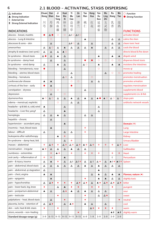## **2.1 BLOOD – ACTIVATING, STASIS DISPERSING**

**6**

| $\Delta$ Indication<br>▲ Strong Indication            | Chuan<br>Xiong      | Dan<br>Shen            | Ji<br>Xue<br>Teng | Huai<br><b>Niu</b><br>Xi | Yi<br>Mu<br>Cao                 | Ze<br>Lan            | Tao<br>Ren                  | Hong<br>Hua     | Yan<br>Hu<br>Suo                | Wu<br>Ling<br>Zhi | Ru<br>Xiang      | Mo<br>Yao              | $\bigcirc$ Function<br><b>Strong Function</b> |
|-------------------------------------------------------|---------------------|------------------------|-------------------|--------------------------|---------------------------------|----------------------|-----------------------------|-----------------|---------------------------------|-------------------|------------------|------------------------|-----------------------------------------------|
| E External Use<br><b>E</b> Strong External Indication | ЛI<br>芎             | 丹<br>参                 | 鸡<br>血            | 怀<br>牛                   | 益<br>母                          | 泽<br>兰               | 桃<br>仁                      | 红<br>花          | 延<br>胡                          | 五<br>灵            | 乳<br>香           | 没<br>药                 |                                               |
| <b>INDICATIONS</b>                                    |                     |                        | 藤                 | 膝                        | 草                               |                      |                             |                 | 索                               | 脂                 |                  |                        | <b>FUNCTIONS</b>                              |
| abscess - breast, mastitis                            | O                   | $\triangle$ $\bullet$  | $\circ$           | $\circ$                  | $\triangle$ EO                  | $\triangle E$        |                             |                 |                                 |                   |                  |                        | activates blood                               |
| abscess - Lung & Intestine                            |                     | $\circ$                |                   |                          |                                 |                      | ▲                           |                 |                                 |                   | Δ                | Δ                      | calms the shen                                |
| abscesses & sores - skin                              |                     | Δ                      |                   |                          | $\triangle$ E $\bigcirc$        | Δ                    |                             | $\Delta$        |                                 |                   | Δ                | Δ                      | clears toxic heat                             |
| amenorrhea                                            | Δ                   | $\triangle$ O          | Δ                 | ▲                        | Δ                               | Δ                    | $\Delta$                    | ▲               |                                 | Δ                 | Δ                | Δ                      | cools the blood                               |
| atrophy & weakness (wei synd.)                        | △                   | $\Delta$               | Δ                 | $\triangle$ O            |                                 |                      |                             |                 |                                 |                   |                  |                        | directs blood & fire down                     |
| bi syndrome - blood stasis                            | ◬◉                  | Δ                      | $\blacktriangle$  | Δ                        |                                 |                      |                             |                 | ▲                               |                   | ▲                | ▲                      | dispels wind                                  |
| bi syndrome - damp heat                               |                     | $\Delta$               |                   | $\Delta$                 |                                 |                      |                             | $\bullet$       | $\circ$                         | $\circ$           | $\circ$          | $\circ$                | disperses blood stasis                        |
| bi syndrome - wind damp                               | Δ                   |                        | ▲                 | Δ                        |                                 |                      | $\triangle$ O               |                 | ▲                               |                   | ▲                | ▲                      | moistens the intestines                       |
| bleeding - hematemesis, nose                          | $\bullet$           |                        |                   | △                        |                                 |                      |                             |                 | $\circ$                         |                   |                  |                        | moves qi                                      |
| bleeding - uterine; blood stasis                      |                     |                        |                   |                          | Δ                               |                      |                             |                 |                                 | Δ                 | $\circ$          | $\circ$                | promotes healing                              |
| bleeding - hematuria                                  |                     |                        |                   | $\triangle$ O            | Δ                               |                      |                             | $\circ$         |                                 |                   |                  |                        | promotes menstruation                         |
| cardiovascular disease                                | ▲                   | ▲                      |                   |                          | $\circ$                         | $\circ$              |                             | Δ               | Δ                               |                   |                  |                        | promotes urination                            |
| cirrhosis of the liver - early                        | $\bullet$           | ▲                      |                   |                          | 0                               |                      |                             |                 |                                 |                   |                  |                        | regulates menstruation                        |
| constipation - dryness                                |                     | $\circ$                | $\circ$           |                          |                                 |                      | Δ                           |                 |                                 |                   |                  |                        | supplements blood                             |
| depression                                            |                     | Δ                      |                   | $\circ$                  |                                 |                      |                             |                 |                                 |                   |                  |                        | supplements Liv. & Kid.                       |
| dysmenorrhea                                          | $\triangle$ $\circ$ | $\Delta$ O             | Δ                 | Δ                        | ▲                               | Δ                    | ▲                           | $\triangle$     | A O                             | $\triangle$ O     | $\triangle$ O    | $\triangle$ O          | stops pain                                    |
| edema - menstrual, nephritic                          |                     |                        | $\circ$           |                          | Δ                               | Δ                    |                             |                 |                                 |                   |                  |                        | unblocks network vessels                      |
| headache - qi & bld. st.; cold, wind                  | ▲                   |                        |                   | $\Delta$                 |                                 |                      |                             |                 | Δ                               |                   |                  |                        |                                               |
| headache - Liver fire; yang t                         | Δ                   |                        |                   | ▲                        |                                 |                      |                             |                 | Δ                               |                   |                  |                        |                                               |
| hemiplegia                                            | $\Delta$            | Δ                      | $\blacktriangle$  | Δ                        |                                 |                      | $\Delta$                    | $\Delta$        |                                 |                   |                  |                        |                                               |
| hepatitis - chronic                                   |                     | Δ                      |                   |                          |                                 |                      |                             |                 |                                 |                   |                  |                        |                                               |
| hypertension - ascendant yang                         |                     |                        |                   | ▲                        |                                 |                      |                             |                 |                                 |                   |                  |                        | Domain $(*)$                                  |
| insomnia - heat, blood stasis                         |                     | ▲                      |                   |                          |                                 |                      | ÷                           |                 |                                 |                   |                  |                        | Lung                                          |
| labour - difficult                                    | Δ                   |                        |                   | Δ                        | △                               |                      | $\mathcal{L}_{\mathcal{C}}$ |                 |                                 |                   |                  |                        | Large Intestine                               |
| leukopenia after radiotherapy                         |                     |                        | ▲                 | Ą.                       |                                 |                      |                             |                 |                                 |                   |                  |                        | <b>Kidney</b>                                 |
| lin syndrome - damp heat, bld.                        |                     |                        |                   | $\Delta$                 | ÷                               |                      |                             |                 |                                 |                   |                  |                        | <b>Urinary Bladder</b>                        |
| masses - abdominal                                    | ٠                   | △◆                     | ÷                 | △◆                       | △◆                              | △◆                   | ▲※                          | △◆              | ÷                               | ٠                 | ٠                | △◆                     | Liver                                         |
| menstruation - irregular                              | ▲ ※                 | Δ                      | $\triangle$       | $\Delta$                 | $\blacktriangle$                | Δ                    | $\Delta$                    |                 |                                 |                   |                  |                        | Gallbladder                                   |
| numbness - extremities                                |                     | ÷                      | ▲※                |                          | ٠                               |                      | ÷                           | Ą.              | ÷                               |                   | ٠                | ÷                      | <b>Heart</b>                                  |
| oral cavity - inflammation of                         | ٠                   | ٠                      |                   | $\blacktriangle$         |                                 |                      |                             |                 |                                 |                   | Ε                |                        | Pericardium                                   |
| pain - & injury, trauma                               | Δ                   | ▲                      | ٠                 | $\Delta$                 | $\Delta$ E                      | $\triangle E$ $\div$ | $\Delta$                    | $\Delta$ E      | △◆                              | Δ                 | ▲E❖              | ▲日幸                    | Spleen                                        |
| pain - abdominal, blood stasis                        | $\Delta$            | Δ                      | Δ                 | △                        | $\Delta$                        | $\Delta$             | $\blacktriangle$            | $\Delta$        | ▲                               | $\Delta$          | Δ                | Δ                      |                                               |
| pain - abdominal, qi stagnation                       | Δ                   |                        |                   |                          |                                 |                      |                             |                 | ▲                               |                   |                  |                        |                                               |
| pain - chest, angina                                  | ▲                   | ▲                      |                   |                          |                                 |                      |                             | $\Delta$        | ▲                               | $\Delta$          | $\blacktriangle$ | ▲                      | Flavour, nature $($ $\blacklozenge)$          |
| pain - epigastric                                     |                     | ▲                      |                   |                          |                                 |                      | ٠                           |                 | ▲                               | ▲                 | Δ                | Δ                      | slightly toxic                                |
| pain - hypochondriac                                  | Δ                   | $\Delta \bullet$       | ٠                 | ۰                        | ۰                               | ▵◆                   | $\Delta \bullet$            | $\Delta$        | $\blacktriangle \blacktriangle$ | $\Delta \bullet$  | △◆               | $\Delta \blacklozenge$ | bitter                                        |
| pain - lower back, leg, knee                          | ٠                   |                        | Δ                 | $\blacktriangle$         | ٠                               | $\blacklozenge$      |                             | $\blacklozenge$ | ٠                               |                   | ٠                |                        | pungent                                       |
| pain - postpartum abdominal                           | $\blacktriangle$    | $\Delta$               |                   | $\Delta \bullet$         | ▲                               | $\Delta$             | ▲                           | $\Delta$        | Δ                               | $\Delta$          |                  |                        | sour                                          |
| pain - testicular                                     |                     |                        | ٠                 |                          |                                 |                      | ٠                           |                 | Δ                               | △◆                |                  |                        | sweet                                         |
| palpitations - heat, blood stasis                     |                     | $\Delta$               |                   | ۰                        |                                 |                      | ٠                           |                 |                                 |                   |                  | $\bullet$              | neutral                                       |
| placenta, lochia - retention of                       | Δ                   | $\Delta \blacklozenge$ |                   | $\Delta$                 | $\blacktriangle \blacktriangle$ |                      | $\blacktriangle$            | $\Delta$        |                                 | Δ                 |                  |                        | cool                                          |
| skin - rash, heat & bld. stasis                       | ۰                   |                        | ۰                 |                          |                                 |                      |                             | △◆              | ۰                               | $\ddot{\bullet}$  | ۰                |                        | warm                                          |
| ulcers, wounds - non-healing                          |                     |                        |                   |                          |                                 | ۰                    |                             |                 |                                 |                   | $\triangle$ E    | $\triangle E$          | slightly warm                                 |
| Standard dosage range (g)                             | $3 - 9$             | $6 - 15$               | $9 - 15$          |                          | $9 - 15$ 9 - 15                 | $9 - 15$             | $6 - 9$                     | $1 - 9$         | $3 - 9$                         | $3 - 9$           | $3 - 9$          | $3 - 9$                |                                               |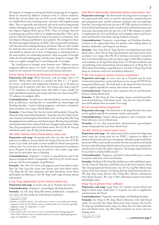The degrees of strength in moving the blood and getting rid of stagnant blood are denoted by different technical terms in Chinese medicine. Herbs that activate blood (*huo xue* 活血) are the mildest, with a gentle yet reliable blood stasis resolving action, and some mild supplementing effect. They are generally well tolerated, and can be used for long periods without damaging zheng qi and blood. The mid range group are those that disperse stagnant blood (*qu yu* 祛血). These are stronger than the activating group, and have little or no supplementing effect. They can be used for relatively long periods as long as the patient is monitored. They may disperse zheng qi and blood in some patients. The strongest are those that break up stagnant blood (*po xue* 破血). These are powerful substances, with the potential to damage zheng qi and blood. They are only suitable for relatively short term use in cases of stubborn or severe blood stasis, and should be phased out in favor of dispersing or activating herbs as the stasis resolves, for continuing treatment. There are grades of strength within the blood breaking group, with the insect drugs the strongest. The herbs are roughly arranged here in ascending order of strength.

The classification of strength varies between texts. Different sources emphasise different aspects of a herb's activity. The rating used here is based on the consensus of several sources and clinical experience.

#### Chuān Xiōng (Chuanxiong Rhizoma) Sichuan lovage root

**Preparation and usage** When decocted, cook no longer than 5–15 minutes<sup>1</sup>. When taken directly as a powder the dose is 1–1.5 grams. For severe, recalcitrant and migrainous headaches, up to 50 grams in decoction may be used for a few days. Dry frying (*chao chuan xiong* 炒 川芎) moderates its dispersing nature and makes it more suitable for weak and deficient patients; processing with wine (*jiu chuan xiong* 酒川 芎) enhances its analgesic effect.

**Contraindications** Yin deficiency with internal heat, excessive sweating from qi deficiency, vomiting due to counterflow qi, menorrhagia and bleeding disorders. Caution during pregnancy, and alone in headache from ascendant Liver yang or blood deficiency.

**Formulae** *Chuan Xiong Cha Tiao San* (wind cold headache); *Qiang Huo Sheng Shi Tang* (wind damp headache); *Tong Qiao Huo Xue Tang*† (headache, tinnitus and hearing loss from blood stasis); *Bu Yang Huan Wu Tang* (hemiplegia from qi deficiency with blood stasis); *Wen Jing Tang* (infertility and dysmenorrhea from cold and deficient chongmai and renmai); *Sheng Hua Tang* (postpartum pain from blood stasis); *Xue Fu Zhu Yu Tang* (qi and blood stasis); *Juan Bi Tang* (wind damp joint pain)

#### Dān Shēn (Salviae miltiorrhizae Radix) salvia root

**Preparation and usage** Processing with wine (*jiu dan shen* 酒丹参) enhances its ability to activate blood; dry frying (*chao dan shen* 炒丹参) warms it up a little and makes it more suitable for blood stasis patterns without heat. For severe heat in the blood and damp heat bi syndrome, up to 30 grams of dan shen may be used for a few weeks. Large doses must not be used where there is bleeding.

**Contraindications** Pregnancy<sup>2</sup>. Caution in yang deficiency, and in the absence of stagnant blood. Incompatible<sup>3</sup> with li lu (p.22). Avoid concurrent use with the anticoagulant drug Warfarin.

**Formulae** *Dan Shen Yin* (chest and epigastric pain from blood stasis); *Huo Luo Xiao Ling Dan* (acute and chronic pain from blood stasis); *Tian Wang Bu Xin Dan* (insomnia and shen disturbance from Heart and Kidney yin deficiency); *Xiao Ru Tang*† (early stage of breast abscess and mastitis)

#### Jī Xuè Téng (Spatholobi Caulis) chicken blood vine

Preparation and usage In severe cases up to 30 grams may be used. Contraindications Pregnancy<sup>4</sup>, menorrhagia, bleeding disorders.

**Formulae** *Gu Zhi Zeng Sheng Wan* (bony proliferation, osteophytes); *Lao Guan Cao Gao* (syrup for wind damp bi syndrome)

3 Appendix 2, p.100

#### Huái Niú Xī (Achyranthis bidentatae Radix) achyranthes root

**7**

**Preparation and usage** The downwards directing action is strongest in the unprocessed herb, and it is used for amenorrhea, retained placenta and postpartum pain, painful urination syndrome and oral pathology from fire. Processing with wine (*jiu niu xi* 酒牛膝) enhances its ability to activate blood and stop pain and it is preferred for abdominal masses and joint pain; processing with salt (*yan niu xi* 盐牛膝) enhances its ability to supplement the Liver and Kidneys and strengthen sinews and bones, and is preferred for lower back and leg weakness and pain.

**Contraindications** Pregnancy, menorrhagia and bleeding disorders. Caution in the unprocessed form for patients with sinking Spleen qi, diarrhea, leukorrhea, and frequent wet dreams.

**Formulae** *Shen Tong Zhu Yu Tang* (chronic musculoskeletal pain from blood stasis); *Zhen Gan Xi Feng Tang* (headache and hypertension from ascendant Liver yang); *Shou Wu He Ji* (dizziness and numb extremities from Liver blood deficiency with ascendant yang); *Si Miao Wan* (weakness and numbness in the legs from damp heat); *Yu Nü Jian* (toothache and oral pathology from Stomach heat and yin deficiency); *Ji Sheng Shen Qi Wan* (edema from Kidney yang deficiency); *Du Huo Ji Sheng Tang* (wind damp bi syndrome with Liver and Kidney deficiency)

#### Yì Mǔ Cǎo (Leonurus Herba) Chinese motherwort

Preparation and usage In severe cases up to 30 grams may be used. Commonly prepared as a syrup with honey (*yi mu cao gao* 益母草膏) for postpartum blood stasis. The fresh herb or the dregs left from decoction can be applied topically for trauma, skin lesions and mastitis.

**Contraindications** Pregnancy, and in patients with yin and blood deficiency without blood stasis.

**Formulae** *Yi Mu Sheng Jin Dan* (irregular menses and dysmenorrhea from blood deficiency with blood stasis); *Tian Ma Gou Teng Yin* (dizziness and headache from ascendant Liver yang)

#### Zé Lán (Lycopi Herba) bugleweed

**Preparation and usage** The fresh herb or the dregs left from decoction can be applied topically for traumatic injuries and mastitis.

**Contraindications** Caution during pregnancy, and in patients with blood deficiency and no blood stasis.

**Formulae** *Ze Lan Tang* (amenorrhea, dysmenorrhea, gynecological masses and postpartum pain from blood stasis)

#### Táo Rén (Persicae Semen) peach seed

**Preparation and usage** The unprocessed seeds are better for dispersing blood stasis; dry frying (*chao tao ren* 炒桃仁) enhances its ability to moisten the Intestines and treat constipation. Should be pulverized before decoction. When used in pills or powder the skin around the seed should be removed by blanching. Peeled seeds are less toxic than un–peeled seeds, and decoction is safer than direct ingestion. The dosage range should not be exceeded to avoid possible toxicity<sup>5</sup>.

**Contraindications** Pregnancy, and alone in blood deficiency. Caution in patients with loose stools and diarrhea.

**Formulae** *Tao Hong Si Wu Tang* (blood deficiency with mild blood stasis); *Tao He Cheng Qi Tang* (heat and blood stasis in the lower burner); *Sheng Hua Tang* (postpartum blood stasis); *Gui Zhi Fu Ling Wan* (blood stasis masses in the lower burner); *Da Huang Mu Dan Tang* (Intestinal abscess); *Wei Jing Tang* (Lung abscess); *Run Chang Wan* (chronic constipation from blood dryness); *Wa Leng Zi Wan* (abdominal masses from blood and phlegm stasis)

#### Hóng Huā (Carthami Flos) safflower

Preparation and usage Large doses (6-9 grams) activate blood and disperse blood stasis; small doses (1–3 grams) are used to supplement and harmonize the blood.

**Contraindications** Pregnancy, menorrhagia and bleeding disorders.

**Formulae** *Tao Hong Si Wu Tang* (blood deficiency with mild blood stasis); *Fu Yuan Huo Xue Tang*† (blood stasis from trauma); *Xue Fu Zhu Yu Tang* (qi and blood stasis); *Dang Gui Hong Hua Yin* (skin rash from heat and blood stasis); *Jing Wan Hong* (ointment for burns and non healing sores)

<sup>1</sup> Appendix 6, p.108

<sup>2</sup> Bensky et al (2004) 3rd ed. is the only source to assert a contraindication during pregnancy. None of the Chinese sources consulted make any statement regarding pregnancy usage. See Appendix 1.1, p.98.

<sup>4</sup> Chen (2004) is the only source to assert a contraindication during pregnancy. None of the Chinese sources consulted make any statement regarding pregnancy usage. See Appendix 1.1, p.98.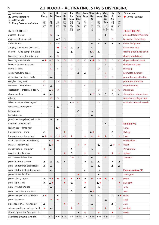## **2.1 BLOOD – ACTIVATING, STASIS DISPERSING**

| $\Delta$ Indication<br>▲ Strong Indication | Pu<br>Huang      | Yu<br>Jin                   | Hu<br>Zhang                 | Luo<br>De        | Lu<br>Lu      | Mao<br>Dong        | Jiang<br>Xiang   | Chuan<br><b>Niu</b> | Jiang<br>Huang              | Wang<br>Bu       | Liu<br>Ji | Su<br>Mu         | $\bigcirc$ Function<br><b>Strong Function</b> |
|--------------------------------------------|------------------|-----------------------------|-----------------------------|------------------|---------------|--------------------|------------------|---------------------|-----------------------------|------------------|-----------|------------------|-----------------------------------------------|
| E External Use                             |                  |                             |                             | Da               | Tong          | Qing               |                  | Xi                  |                             | Liu              | Nu        |                  |                                               |
| <b>E</b> Strong External Indication        | 蒲                | 郁                           | 虎                           | 落                | 路             | 毛                  | 降                | J <sub>1</sub>      | 姜                           | Xing             | 刘         | 苏                |                                               |
|                                            | 黄                | 金                           | 杖                           | 得                | 路             | 冬                  | 香                | 牛                   | 黄                           | 王不               | 寄         | 木                |                                               |
| <b>INDICATIONS</b>                         |                  |                             |                             | 大                | 通             | 青                  |                  | 膝                   |                             | 留行               | 奴         |                  | <b>FUNCTIONS</b>                              |
| abscess - breast                           |                  | $\circ$                     | $\Delta$                    |                  |               |                    |                  |                     |                             | $\blacktriangle$ |           |                  | aids Gallbladder function                     |
| abscesses & sores - skin                   |                  |                             | $\triangle$ E               | $\Delta$         |               |                    |                  |                     | Δ                           |                  | $\circ$   |                  | breaks up blood stasis                        |
| amenorrhea                                 |                  | $\circ$                     | $\triangle$ O               |                  |               |                    |                  | ▲                   | Δ                           | ▲                | ▲         | Δ                | clears damp heat                              |
| atrophy & weakness (wei synd.)             |                  |                             | ●                           | $\circ$          | Δ             | Δ                  |                  | ▲                   |                             |                  |           |                  | clears toxic heat                             |
| bi synd. - wind damp, bld. stasis          |                  |                             | Δ                           |                  | Δ             |                    |                  | $\triangle$ O       | $\blacktriangle$            |                  |           |                  | directs blood & fire down                     |
| bleeding - hematemesis, nose               |                  | Δ                           | $\circ$                     |                  |               |                    |                  | Δ                   |                             |                  |           |                  | dispels wind damp                             |
| bleeding - hematuria                       | △●               | $\triangle$ O               | $\circ$                     | $\circ$          | $\circ$       | $\circ$            | $\circ$          | A O                 | $\circ$                     | $\circ$          | Δ         | $\circ$          | disperses blood stasis                        |
| breast - distension & pain                 |                  | $\circ$                     |                             |                  | Δ             |                    |                  |                     |                             | Δ                |           |                  | dredges the Liver                             |
| burns & scalds                             |                  | $\circ$                     | Ε                           |                  | $\circ$       | E                  |                  |                     | $\circ$                     |                  | E         |                  | moves qi                                      |
| cardiovascular disease                     |                  |                             |                             |                  |               | ▲                  | Δ                |                     |                             | $\circ$          |           |                  | promotes lactation                            |
| cirrhosis of the liver - early             |                  | Δ                           |                             |                  |               |                    |                  |                     |                             | $\circ$          | $\circ$   |                  | promotes menstruation                         |
| cough - Lung heat                          | $\circ$          |                             | $\triangle$ O               | $\circ$          | $\circ$       | Δ                  |                  | $\circ$             |                             |                  |           |                  | promotes urination                            |
| delirium - in high fever                   | $\circ$          | Δ                           |                             |                  |               |                    | $\circ$          |                     |                             |                  |           |                  | stops bleeding                                |
| depression - phlegm, qi const.             |                  | $\triangle$ O               | $\circ$                     |                  |               |                    |                  |                     | $\circ$                     |                  | $\circ$   | $\circ$          | stops pain                                    |
| dysmenorrhea                               | ▲                | Δ                           |                             |                  |               |                    |                  | $\triangle$ O       | $\Delta$                    | $\Delta$         | Δ         | Δ                | strengthens sinew, bone                       |
| edema                                      |                  | $\circ$                     | $\circ$                     |                  | Δ             |                    |                  |                     |                             |                  |           |                  | transforms phlegm heat                        |
| fallopian tubes - blockage of              |                  |                             |                             |                  | $\triangle$ O | $\circ$            |                  |                     | $\circ$                     |                  |           |                  | unblocks network vessels                      |
| gallstones, cholecystitis                  |                  | ▲                           | Δ                           |                  |               |                    |                  |                     |                             |                  |           |                  |                                               |
| hemiplegia                                 |                  |                             |                             |                  |               | Δ                  |                  | Δ                   |                             |                  |           |                  |                                               |
| hypertension                               |                  |                             |                             |                  |               | Δ                  |                  | ▲                   |                             |                  |           |                  |                                               |
| jaundice - damp heat, bld. stasis          |                  | ▲                           | Δ                           |                  |               |                    |                  |                     |                             |                  | Δ         |                  |                                               |
| lactation - insufficient                   |                  |                             |                             |                  |               |                    |                  |                     |                             | ▲                |           |                  | Domain $(*)$                                  |
| leukorrhea - damp heat                     |                  |                             | △◆                          |                  |               |                    |                  |                     |                             |                  |           |                  | Lung                                          |
| lin syndrome - blood                       | Δ                |                             |                             | ٠                |               |                    |                  | ▲※                  |                             |                  | Δ         |                  | <b>Kidney</b>                                 |
| lin syndrome - damp heat                   | △◆               | $\sigma_{\rm eff}^{\rm th}$ | △◆                          | △◆               | ŵ.            |                    | ÷                | ÷                   | ÷                           | ÷                | Δ         | ÷                | Liver                                         |
| mania depression (dian kuang)              |                  | ▲※                          | $\sigma_{\rm eff}^{\rm th}$ |                  |               |                    |                  |                     |                             |                  |           |                  | Gallbladder                                   |
| masses - abdominal                         |                  | △◆                          |                             |                  |               | ÷                  | ÷                |                     | $\Delta$                    |                  | △◆        | ÷                | Heart                                         |
| menstruation - irregular                   | ÷                | $\Delta$                    |                             |                  | Δ             |                    |                  | $\Delta$            |                             |                  |           |                  | Pericardium                                   |
| nasosinusitis (bi yuan)                    |                  |                             |                             | ٠                | Δ             |                    | ÷                |                     | $\sigma_{\rm eff}^{\rm th}$ |                  | Ą.        | ÷                | Spleen                                        |
| numbness - extremities                     |                  |                             |                             |                  | △◆            | △                  |                  | $\triangle$         |                             | ٠                |           |                  | Stomach                                       |
| pain - & injury, trauma                    | Δ                | Δ                           | $\Delta$                    | $\blacktriangle$ |               |                    | $\blacktriangle$ | $\Delta$            | Δ                           |                  | ▲         | Δ                |                                               |
| pain - abdominal, blood stasis             | $\blacktriangle$ | Δ                           |                             |                  |               |                    |                  | $\Delta$            | Δ                           |                  | Δ         | $\Delta$         |                                               |
| pain - abdominal, qi stagnation            |                  | Δ                           |                             |                  |               |                    | Δ                |                     | Δ                           |                  |           |                  | Flavour, nature $($ $\blacklozenge)$          |
| pain - arm & shoulder                      |                  |                             |                             |                  |               | ٠                  |                  |                     | ▲                           |                  |           |                  | astringent                                    |
| pain - chest, angina                       | Δ                | $\Delta \bullet$            | ٠                           | ٠                | ٠             | $\blacktriangle$ + | Δ                | $\blacklozenge$     | ∆ ◆                         | ٠                | ٠         |                  | bitter                                        |
| pain - epigastric                          | ▲                | $\Delta \bullet$            |                             | ٠                | △             |                    | ۰                |                     | △◆                          |                  |           | ٠                | pungent                                       |
| pain - hypochondriac                       |                  | $\blacktriangle$            |                             |                  |               |                    | $\Delta$         |                     | $\Delta$                    |                  |           | ٠                | salty                                         |
| pain - lower back, leg, knee               |                  |                             |                             |                  | Δ             |                    |                  | $\blacktriangle$ +  |                             |                  |           |                  | sour                                          |
| pain - postpartum abdominal                | Δ♦               |                             | Δ                           |                  |               |                    |                  | Δ                   | Δ                           |                  | Δ         | $\Delta \bullet$ | sweet                                         |
| pain - testicular                          |                  | ٠                           | ٠                           |                  |               |                    |                  |                     |                             | $\Delta$         |           |                  | cold                                          |
| placenta, lochia - retention of            | ▲                |                             |                             | ۰                |               | ۰                  |                  | Δ                   |                             |                  | Δ         |                  | cool                                          |
| seizures, epilepsy - phlegm heat           | ٠                | $\Delta$                    |                             |                  | ٠             |                    |                  | $\blacklozenge$     |                             | ۰                |           | $\blacklozenge$  | neutral                                       |
| thrombophlebitis, Buerger's dis.           |                  |                             |                             |                  |               | $\blacktriangle$   | ٠                |                     | ۰                           |                  | ٠         |                  | warm                                          |
| Standard dosage range (g)                  | $3 - 9$          | $6 - 12$                    | $9 - 30$                    | $9 - 30$         | $3 - 9$       | $30 - 60$          | $3 - 6$          | $9 - 15$            | $3 - 9$                     | $6 - 9$          | $3 - 9$   | $3 - 9$          |                                               |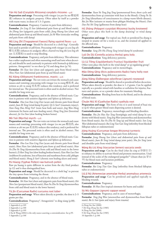#### Yán Hú Suǒ (Corydalis Rhizoma) corydalis rhizome ~ p.6

**Preparation and usage** Processing with vinegar (*cu yan hu suo* 醋延胡 索) enhances its analgesic property. Often taken by itself as a powder with warm water, in doses of 1.5–3 grams.

**Contraindications** Pregnancy. Caution in pain from deficiency.

**Formulae** *Jin Ling Zi San* (abdominal pain from qi and blood stasis); *An Zhong San* (epigastric pain from cold); *Jiang Huang San* (chest and abdominal pain from qi and blood stasis); *Ju He Wan* (testicular swelling and pain from cold damp)

#### Wǔ Líng Zhī (Trogopterori Faeces) flying squirrel feces ~ p.6

Preparation and usage Should be decocted in a cloth bag<sup>1</sup>. Generally best used in powder or pill form. Processing with vinegar (*cu wu ling zhi* 醋五灵脂) enhances its analgesic effect; charred wu ling zhi (*wu ling zhi tan* 五灵脂炭) is used to stop bleeding.

**Contraindications** Pregnancy, and pain from deficiency. This substance has a rather unpleasant and often nauseating smell and taste when decocted, and should be used cautiously in patients with Stomach qi deficiency patterns. Antagonistic<sup>2</sup> to ren shen (p.74) and dang shen (p.74).

**Formulae** *Shi Xiao San* (chest and epigastric pain from blood stasis); *Shou Nian San* (abdominal pain from qi and blood stasis)

#### Rǔ Xiāng (Olibanum) frankincense, mastic ~ p.6

**Preparation and usage** The raw resin can irritate the stomach and cause nausea and vomiting; processing with vinegar (*cu ru xiang* 醋乳香, also written as *zhi ru xiang* 炙乳香) reduces this tendency, and is preferred for internal use. The processed resin is often used in alcohol extract. Not suitable for long term use.

**Contraindications** Pregnancy, and in the absence of blood stasis. Caution in patients with sensitive digestion and Spleen qi deficiency.

**Formulae** *Huo Luo Xiao Ling Dan* (acute and chronic pain from blood stasis); *Juan Bi Tang* (wind damp bi pain); *Qi Li San*† (traumatic injury); *Xian Fang Huo Ming Yin*† (toxic heat boils and sores); *Jing Wan Hong* (ointment for burns and non–healing sores); *Hong Teng Jian* (Intestinal abscess); *Jie Gu Dan* (slow healing broken bones)

#### Mò Yaò (Myrrha) myrrh ~ p.6

**Preparation and usage** The raw resin can irritate the stomach and cause nausea and vomiting; processing with vinegar (*cu mo yao* 醋没药, also written as *zhi mo yao* 炙没药) reduces this tendency, and is preferred for internal use. The processed resin is often used in alcohol extract. Not suitable for long term use.

**Contraindications** Pregnancy, and in the absence of blood stasis. Caution in patients with sensitive digestion and Spleen qi deficiency.

**Formulae** *Huo Luo Xiao Ling Dan* (acute and chronic pain from blood stasis); *Shou Nian San* (abdominal pain from qi and blood stasis); *Shao Fu Zhu Yu Tang* (dysmenorrhea from cold and blood stasis in the lower burner); *Zi Ran Tong San* (slow healing broken bones); *Xiao Huo Luo Dan* (stubborn bi syndrome, loss of function and numbness from cold, phlegm and blood stasis); *Sheng Ji San*† (chronic non healing ulcers and sores)

#### Pú Húang (Typhae Pollen) raw bulrush pollen

Raw pu huang is quite different in action from the dry fried product (p.12) and is thus distinguished here.

**Preparation and usage** Should be decocted in a cloth bag<sup>3</sup> to prevent the tiny spores from irritating the throat.

**Contraindications** Pregnancy, and in the absence of blood stasis.

**Formulae** *Shi Xiao San* (chest and epigastric pain from blood stasis); *Hei Shen San* (postpartum blood stasis); *Shao Fu Zhu Yu Tang* (dysmenorrhea from cold and blood stasis in the lower burner)

#### Yù Jīn (Curcumae Radix) curcuma root tuber

**Preparation and usage** When taken directly as powder, the dose is 2–5 grams per day.

**Contraindications** Pregnancy<sup>4</sup>. Antagonistic<sup>5</sup> to ding xiang (p.88).

4 Xu & Wang (2002) is the only source asserting a contraindication. See p.99. 5 Appendix 2, p.100

**Formulae** *Xuan Yu Tong Jing Tang* (premenstrual fever, short cycle and dysmenorrhea from qi constraint with heat in the blood); *Chang Pu Yu Jin Tang* (disturbance of consciousness in a damp warm febrile disease); *Bai Jin Wan* (seizures or mania from phlegm blocking the Heart); *Dan Dao Pai Shi Tang* (gallstones from damp heat)

#### Hǔ Zhàng (Polygoni cuspidati Rhizoma) bushy knotweed

Other texts place this herb in the damp draining<sup>6</sup> or wind damp group7 .

**Preparation and usage** For topical use, fresh or powdered hu zhang is steeped in sesame oil for a week or so, and the strained oil applied to the affected area.

#### **Contraindications** Pregnancy.

**Formulae** *Sang Zhi Hu Zhang Tang* (wind damp bi syndrome)

Luò De Dà (Centella asiatica Herba) gotu kola

**Contraindications** Yang deficiency patterns.

#### Lù Lù Tōng (Liquidambaris Fructus) liquidamber fruit

Other texts place this herb in the wind damp<sup>8</sup> or qi regulating group<sup>9</sup>. **Contraindications** Pregnancy and in menorrhagia.

Máo Dōng Qīng (Ilicis pubescentis Radix) hairy holly root **Contraindications** Yang deficiency patterns.

#### Jiàng Xiāng (Dalbergiae odoriferae Lignum) rosewood

**Preparation and usage** Should be shaved or powdered before decoction. When taken directly as powder, the dose is  $1-2$  grams. Can be applied topically as a powder mixed with lanoline or sorbolene for injuries, fractures and sprains, or as a powder alone for traumatic bleeding.

**Contraindications** Bleeding from heat in the blood, and in the absence of blood stasis.

#### Chuān Niú Xī (Cyathulae Radix) cyathula root

**Preparation and usage** This form of niu xi is used instead of huai niu xi (p.6) when greater blood stasis dispersing action is desired.

**Contraindications** Pregnancy, menorrhagia and bleeding disorders.

**Formulae** *Shu Jin Huo Xue Tang* (hemiplegia and wind damp bi syndrome with blood stasis); *Tong Jing Wan* (amenorrhea and dysmenorrhea from blood stasis); *Xue Fu Zhu Yu Tang* (qi and blood stasis); *San Leng Wan* (abdominal masses); *Bai Ling Tiao Gan Tang* (infertility from blocked fallopian tubes or endometriosis)

#### Jiāng Huáng (Curcumae longae Rhizoma) turmeric

**Contraindications** Pregnancy, and pain from deficiency.

**Formulae** *Jiang Huang San* (chest and abdominal pain from qi and blood stasis); *Juan Bi Tang* (wind damp joint pain); *Shu Jin Tang* (arm and shoulder pain from wind damp)

#### Wáng Bù Liú Xíng (Vaccariae Semen) vaccaria seeds

**Preparation and usage** Can be dry fried (*chao liu xing zi* 炒留行子) to enhance its ability to activate blood and promote menstruation. Used instead of the scales of the endangered pangolin<sup>10</sup> (chuan shan jia 穿山 甲) for blood stasis and lactation problems.

#### **Contraindications** Pregnancy.

**Formulae** *Bai Ling Tiao Gan Tang* (infertility from blocked fallopian tubes or endometriosis)

Liú Jì Nú (Artemesiae anomalae Herba) anomalous artemesia **Preparation and usage** Can be powdered and applied topically to bleeding wounds.

**Contraindications** Pregnancy.

**Formulae** *Bi Huo Dan* (topical ointment for burns and scalds)

#### Sū Mù (Sappan Lignum) sappan wood

**Contraindications** Pregnancy, and in cases of menorrhagia. **Formulae** *Tong Jing Wan* (amenorrhea and dysmenorrhea from blood stasis); *Ba Li San* (pain and injury from trauma)

<sup>1</sup> Appendix 6, p.109

<sup>2</sup> Appendix 2, p.100

<sup>3</sup> Appendix 6, p.109

<sup>6</sup> *Zhong Yao Xue* (2000)

<sup>7</sup> *Shi Yong Zhong Yao Xue* (1985)

<sup>8</sup> *Zhong Yao Xue* (2000)

<sup>9</sup> *Shi Yong Zhong Yao Xue* (1985)

<sup>10</sup> Appendix 5, p.106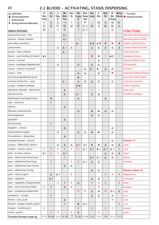## **2.1 BLOOD – ACTIVATING, STASIS DISPERSING**

**10**

| $\Delta$ Indication                   | Zi<br>Ran       | Jiu<br>Cai                  | Ji<br>Xing      | Ma<br><b>Bian</b>   | Gan<br>Qi                   | Wa<br>Leng            | Shui<br>Hong               | San<br>Leng           | E<br>Zhu           | Shui<br>Zhi     | Di<br><b>Bie</b>      | Meng<br>Chong               | $O$ Function                         |
|---------------------------------------|-----------------|-----------------------------|-----------------|---------------------|-----------------------------|-----------------------|----------------------------|-----------------------|--------------------|-----------------|-----------------------|-----------------------------|--------------------------------------|
| ▲ Strong Indication<br>E External Use | <b>Tong</b>     |                             | Zi              | Cao                 |                             | Ζi                    | Hua                        |                       |                    |                 | Chong                 |                             | Strong Function                      |
| <b>E</b> Strong External Indication   | 自               | 韭                           | 急               | 马                   | 干                           | 瓦                     | Zi                         | $\equiv$              | 莪                  | 水               | 地                     | 虻                           |                                      |
|                                       | 然               | 菜                           | 性               | 鞭                   | 漆                           | 楞                     | 水红                         | 棱                     | 术                  | 蛭               | 鳖                     | 虫                           |                                      |
| <b>INDICATIONS</b>                    | 铜               |                             | 子               | 草                   |                             | 子                     | 花子                         |                       |                    |                 | 虫                     |                             | <b>FUNCTIONS</b>                     |
| abscesses & sores - skin              |                 |                             |                 | $\Delta E$          |                             |                       | $\circ$                    | $\bigcirc$            | $\circ$            |                 |                       |                             | alleviates food stagnation           |
| abscess - breast, mastitis            |                 |                             |                 | $\triangle E$       |                             | $\circ$               |                            |                       |                    |                 |                       |                             | alleviates gastric acidity           |
| acid reflux, heartburn                |                 |                             | $\circ$         | $\circ$             | $\circ$                     | $\triangle$ O         | $\circ$                    | $\triangle$ $\bullet$ | $\Delta$ $\bullet$ | ●               |                       | $\bullet$                   | breaks up blood stasis               |
| amenorrhea                            |                 |                             | Δ               | $\triangle$ O       | Δ                           |                       |                            | $\Delta$              | Δ                  | $\Delta$        | Δ                     | Δ                           | checks malarial disorder             |
| ascites - from cirrhosis              |                 |                             |                 | $\triangle$ O       |                             |                       |                            |                       |                    |                 |                       |                             | clears toxic heat                    |
| bones - poor healing of broken        | $\triangle$ E   |                             | $\circ$         |                     |                             | $\circ$               | $\circ$                    | $\bullet$             |                    | $\circ$         | $\triangle$ E $\circ$ | $\circ$                     | dissipates masses                    |
| cancer - cervical                     | $\circ$         | $\circ$                     |                 |                     |                             |                       |                            |                       | Δ                  |                 |                       |                             | disperses blood stasis               |
| cancer - esophagus, digestive tract   |                 |                             | Δ               |                     | $\circ$                     | Δ                     |                            | $\Delta$              | Δ                  |                 |                       |                             | kills parasites                      |
| cancer - tumors in general            |                 |                             |                 |                     |                             |                       | $\Delta$                   | $\triangle$ O         | $\triangle$ O      | $\Delta$        | Δ                     |                             | moves qi                             |
| cancer - liver                        | $\circ$         |                             |                 |                     |                             | Δ                     | $\Delta$                   |                       | Δ                  |                 | ●                     |                             | promotes healing of bones            |
| cervical lymphadenitis (luo li)       |                 |                             | $\circ$         |                     | $\circ$                     | ▲                     |                            |                       |                    |                 |                       |                             | promotes menstruation                |
| cirrhosis of the liver - early        |                 |                             |                 | $\triangle$ $\circ$ |                             | Δ                     | Δ                          | $\Delta$              | Δ                  |                 | Δ                     |                             | promotes urination                   |
| cough - stubborn phlegm               |                 |                             |                 |                     |                             | $\triangle$ $\bullet$ |                            |                       |                    |                 |                       |                             | softens hardness                     |
| dysenteric disorder - damp heat       | $\circ$         |                             |                 | Δ                   |                             | $\circ$               | $\circ$                    | $\bigcirc$            | $\circ$            |                 |                       |                             | stops pain                           |
| dysmenorrhea                          |                 |                             |                 | $\Delta$            |                             | $\Delta$ O            |                            | Δ                     | $\Delta$           |                 |                       |                             | transforms phlegm                    |
| dysphagia (esophageal mass)           |                 | ▲                           |                 |                     |                             | △                     |                            |                       |                    | $\Delta$        |                       |                             |                                      |
| ears - insects in                     |                 | E                           |                 |                     |                             |                       |                            |                       |                    |                 |                       |                             |                                      |
| edema                                 |                 |                             |                 | $\Delta$            |                             |                       |                            |                       |                    |                 |                       |                             |                                      |
| fibroids, endometriosis               |                 |                             |                 |                     |                             | Δ                     |                            | ▲                     | ▲                  | Δ               | Δ                     |                             |                                      |
| food stagnation                       |                 |                             |                 |                     |                             |                       |                            | Δ                     | Δ                  |                 |                       |                             |                                      |
| gingivitis                            |                 |                             |                 | Δ                   |                             |                       |                            |                       |                    |                 |                       |                             |                                      |
| hemorrhoids                           |                 | E                           |                 |                     |                             |                       |                            |                       |                    |                 |                       |                             |                                      |
| hepatitis - chronic                   |                 |                             |                 | Δ                   |                             |                       |                            |                       |                    |                 | Δ                     |                             |                                      |
| hepatosplenomegaly                    |                 |                             | Δ               |                     |                             | Δ                     | Δ                          | ▲                     | ▲                  |                 | Δ                     |                             |                                      |
| lin syndrome - damp heat              |                 |                             |                 | Δ                   |                             |                       |                            |                       |                    |                 |                       |                             |                                      |
| malarial disorder - chronic           |                 |                             |                 |                     |                             |                       |                            |                       |                    |                 | Δ                     |                             | Domain $(*)$                         |
| masses - abdominal, uterine           |                 |                             | Δ               | Δ                   | Δ                           | △◆                    | $\Delta E$                 | ▲                     | ▲                  | Δ               | Δ                     | Δ                           | Lung                                 |
| masses - tumors, cancer               | ٠               | ÷                           | ٠               | Ą.                  | ٠                           | ÷                     | △◆                         | △◆                    | ▲※                 | △◆              | △◆                    | $\mathcal{L}_{\mathcal{C}}$ | Liver                                |
| pain - & injury, trauma               | $\Delta$ E      | E                           | ٠               | $\triangle E$       |                             |                       |                            |                       |                    | Δ               | $\triangle$           | Δ                           | Heart                                |
| pain - abdominal, blood stasis        |                 |                             |                 | ÷                   |                             |                       |                            | △◆                    | △◆                 | $\Delta$        | Δ                     |                             | Spleen                               |
| pain - abdominal, food stag.          |                 | $\sigma_{\rm eff}^{\rm th}$ |                 |                     | ٠                           | ÷                     | △◆                         | $\Delta$              | Δ                  |                 |                       |                             | Stomach                              |
| pain - abdominal, from worms          |                 |                             |                 | $\Delta$            | Δ                           |                       |                            |                       |                    |                 |                       |                             |                                      |
| pain - abdominal, qi stag.            |                 |                             |                 |                     |                             |                       |                            | $\Delta$              | Δ                  |                 |                       |                             | Flavour, nature $($ $\blacklozenge)$ |
| pain - chest, angina                  |                 | $\Delta$                    | Δ♦              |                     | ٠                           |                       |                            |                       |                    | $\blacklozenge$ |                       | $\color{blue}\blacklozenge$ | slightly toxic                       |
| pain - epigastric                     |                 | $\Delta \blacklozenge$      |                 |                     |                             |                       |                            | $\Delta$              | Δ                  |                 |                       |                             | astringent                           |
| pain - epigastric, & hyperacidity     |                 |                             | $\blacklozenge$ | ۰                   | $\ddot{\bullet}$            | Δ                     |                            | $\ddot{\bullet}$      | ٠                  | $\bullet$       |                       | $\blacklozenge$             | bitter                               |
| pain - joint; qi & blood stasis       | $\blacklozenge$ | $\ddot{\bullet}$            |                 | $\Delta$            | $\color{blue}\blacklozenge$ |                       |                            |                       | ٠                  |                 |                       |                             | pungent                              |
| pain - postpartum abdominal           |                 |                             |                 |                     |                             | $\ddot{\phantom{1}}$  | ٠                          | $\Delta$              | Δ                  | ۰               | △◆                    | Δ                           | salty                                |
| pregnancy - ectopic                   |                 | $\bullet$                   |                 |                     |                             |                       |                            | Δ                     | Δ                  |                 | Δ                     |                             | sour                                 |
| throat - sore, acute                  |                 |                             |                 | Δ                   |                             |                       |                            |                       |                    |                 | ٠                     |                             | cold                                 |
| thyroid - benign nodules, goitre      |                 |                             |                 | ۰                   |                             | ▲                     | $\Delta \blacklozenge$     |                       |                    |                 |                       | $\bullet$                   | cool                                 |
| tongue - numbness of                  | ٠               |                             |                 |                     |                             | ۰                     |                            | $\blacklozenge$       |                    | ۰               | Ε                     |                             | neutral                              |
| ulcers - gastric                      |                 |                             |                 |                     | ٠                           | $\triangle$           |                            |                       | ٠                  |                 |                       |                             | warm                                 |
| Standard dosage range (g)             |                 | $9 - 15$ 30-60              | $3 - 9$         | $15 - 30$           | see<br>p.11                 |                       | $9 - 30$   15 - 30   3 - 9 |                       | $3 - 9$            | $3 - 6$         | $3 - 9$               | $1 - 1.5$                   |                                      |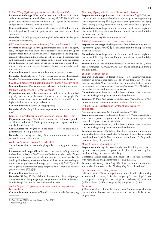#### Zì Rán Tóng (Pyritum) pyrite, ferrous disulphide FeS.

**Preparation and usage** When used in decoction the dose is 9–15 grams and the calcined version is used (*duan zi ran tong* 煅自然铜). In pills and powder (the preferred option) the dose is 0.3–1 grams of the calcined and pulverized substance, once or twice daily.

**Contraindications** Not suitable in the absence of blood stasis and for prolonged use. Caution in patients with heat from yin and blood deficiency.

**Formulae** *Zi Ran Tong San* (slow healing broken bones); *Ba Li San* (pain and injury from trauma)

#### Jiǔ Cài (Allium tuberosum Stamen) fragrant flowered garlic

**Preparation and usage** The fresh juice extracted from jiu cai is pungent, sour, astringent and very warm, and disperses blood stasis in the upper digestive tract. It is an important herb for regurgitation and dysphagia caused by blood stasis in the esophagus. When cooked, it becomes sweet and warm, and is used to warm Spleen and Stomach yang, and correct the qi dynamic. To treat insects in the ear, jiu cai juice is dripped into the ear. For hemorrhoids, a brief decoction of jiu cai can be used to wash the rectal area.

**Contraindications** Patients with indeterminate gnawing hunger.

**Formulae** *Wu Zhi An Zhong Yin* (dysphagia from qi and blood stasis); *San Zhi Yin* (regurgitation from Spleen and Stomach yang deficiency)

Jí Xìng Zǐ (Impatiens balsamina Semen) garden balsam seed **Contraindications** Pregnancy; blood deficiency without blood stasis.

#### Mă Biān Căo (Verbenae Herba) verbena

**Preparation and usage** For abscesses, the fresh herb can be applied topically; for sore throat the extracted juice can be used as a gargle. For malaria, a decoction of ma bian cao (alone or with other suitable herbs) is given 2–3 hours before expected onset of fever.

**Contraindications** Caution during pregnancy.

**Formulae** *Zi Xue Tang* (blood stasis type amenorrhea and dysmenorrhea)

#### Gān Qī (Toxicodendri Resina) Japanese lacquer tree resin

**Preparation and usage** Not suitable for decoction. Only used in powder or pill form in doses of 0.06–0.1 grams. Always used in processed form, usually dry fried or calcined.

**Contraindications** Pregnancy, in the absence of blood stasis and in patients with Spleen qi deficiency.

**Formulae** *Da Huang Zhe Chong Wan* (lower abdominal masses and amenorrhea from blood stasis)

#### Wǎ Léng Zǐ (Arcae Concha) cockle shell

This substance also appears in the phlegm heat clearing group in some  $text{texts}^1$ .

**Preparation and usage** When decocted, the dose is 9–30 grams and it should be cooked for 30–60 minutes<sup>2</sup> before the other herbs. When taken directly in powder or in pills, the dose is 1–3 grams per day. To break up blood stasis, transform phlegm and dissipate masses, wa leng zi is untreated or processed with vinegar (*cu wa leng zi* 醋瓦楞子); to alleviate gastric hyperacidity and stop epigastric pain, it should be calcined (*duan wa leng zi* 煅瓦楞子).

#### **Contraindications** None noted.

**Formulae** *Wa Leng Zi Wan* (abdominal masses from blood and phlegm stasis); *Han Hua Wan* (phlegm type benign thyroid nodules and cervical lymphadenopathy); *Bie Jia Wan* (abdominal masses)

#### Shuǐ Hóng Huā Zǐ (Polygonum orientale Fructus) princes feather fruit

**Contraindications** Absence of blood stasis and middle burner yang deficiency.

2 Appendix 6, p.108

#### Sān Léng (Sparganii Rhizoma) burr reed rhizome

**Preparation and usage** Processing with wine (*jiu san leng* 酒三棱) enhances its ability to break up blood stasis and dissipate masses; processing with vinegar (*cu san leng* 醋三棱)enhances its analgesic effect; dry frying (*chao san leng* 炒三棱) enhances its ability to alleviate food stagnation.

**Contraindications** Pregnancy, and in women with menorrhagia and patients with bleeding disorders. Caution in weak patients with mild to moderate blood stasis.

**Formulae** *San Leng Wan* (abdominal masses)

#### É Zhú (Curcumae Rhizoma) curcuma rhizome

**Preparation and usage** Used unprocessed for food stagnation; processing with vinegar (*cu e zhu* 醋莪术) enhances its ability to disperse blood stasis and stop pain.

**Contraindications** Pregnancy, and in women with menorrhagia and patients with bleeding disorders. Caution in weak patients with mild to moderate blood stasis.

**Formulae** *Bie Jia Wan* (abdominal masses); *E Wei Hua Pi Gao*† (topical plaster for masses); *Jiang Huang San* (chest and abdominal pain from qi and blood stasis)

#### Shuǐ Zhì (Hirudo) leech

**Preparation and usage** In decoction the dose is 3–6 grams; when taken separately as powder (the preferred option) the dose is 0.3–0.6 grams once or twice daily. When destined for pills or powder, the leech should be processed with talcum powder (*hua shi chao shi zhi* 滑石炒水蛭), as this makes it crispy and more easily powdered.

**Contraindications** Pregnancy, in the absence of blood stasis, in women with menorrhagia and patients with bleeding disorders.

**Formulae** *Di Dang Tang* (severe blood stasis); *Da Huang Zhe Chong Wan* (lower abdominal masses and amenorrhea from blood stasis)

#### Dì Biē Chóng (Eupolyphaga/Steleophaga) wingless cockroach

Also known as zhè chóng 䗪虫 and tŭ biē chóng 土鳖虫.

**Preparation and usage** In decoction the dose is 3–9 grams, crushed up; when taken separately as powder or in pills (the preferred option) the dose is 1–1.5 grams once or twice daily.

**Contraindications** Pregnancy, in the absence of blood stasis, in women with menorrhagia and patients with bleeding disorders.

**Formulae** *Da Huang Zhe Chong Wan* (lower abdominal masses and amenorrhea from blood stasis); *Xia Yu Xue Tang* (severe dysmenorrhea from blood stasis); *Bie Jia Wan* (abdominal masses); *Can She Tang* (stubborn wind damp bi syndrome)

#### Méng Chóng (Tabanus) horse fly

**Preparation and usage** In decoction the dose is 1–1.5 grams, crushed up; when taken separately as powder or in pills (the preferred option) the dose is 0.3 grams once or twice daily.

**Contraindications** Pregnancy, in the absence of blood stasis, in women with menorrhagia and patients with bleeding disorders.

**Formulae** *Da Huang Zhe Chong Wan* (lower abdominal masses and amenorrhea from blood stasis); *Di Dang Tang* (severe blood stasis)

#### Substances from other groups

Substances from different categories with some blood stasis resolving action include pu huang (p.8), qian cao gen (p.12), san qi (p.12), xue yu tan (p.14), xue jie (p.24), shan zha (p.30), chi shao (p.40), mu dan pi (p.40), da huang (p.60), dang gui (p.78) and gu sui bu (p.84).

#### Endnotes

† These formulae traditionally contain items from endangered animal species and/or obsolete toxic substances, and are unavailable in their original form.

<sup>1</sup> *Zhong Yao Xue* (2000), *Shi Yong Zhong Yao Xue* (1985)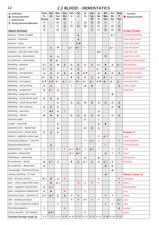## **2.2 BLOOD – HEMOSTATICS**

| $\Delta$ Indication<br>▲ Strong Indication<br>E External Use<br><b>E</b> Strong External Indication | Chao<br>Pu<br>Huang<br>炒<br>蒲 | San<br>Qi<br>三<br>七 | Qian<br>Cao<br>Gen<br>茜<br>草 | Hua<br>Rui<br>Shi<br>花<br>蕊 | Xiao<br>Ji<br>小<br>蓟 | Da<br>Ji<br>大<br>蓟          | Di<br>Yu<br>地<br>榆    | Huai<br>Hua<br>Mi<br>槐<br>花 | Ce<br>Bai<br>Ye<br>侧<br>柏   | Bai<br>Mao<br>Gen<br>白<br>茅 | Zhu<br>Ma<br>Gen<br>苎<br>麻 | Yang<br>Ti<br>Gen<br>羊<br>蹄 | $\bigcirc$ Function<br>Strong Function |
|-----------------------------------------------------------------------------------------------------|-------------------------------|---------------------|------------------------------|-----------------------------|----------------------|-----------------------------|-----------------------|-----------------------------|-----------------------------|-----------------------------|----------------------------|-----------------------------|----------------------------------------|
| <b>INDICATIONS</b>                                                                                  | 黄                             |                     | 根                            | 石                           |                      |                             |                       | 米                           | 叶                           | 根                           | 根                          | 根                           | <b>FUNCTIONS</b>                       |
| abscess - breast, mastitis                                                                          | $\circ$                       |                     |                              |                             |                      | Δ                           |                       |                             | $\circ$                     |                             | $\triangle E$              |                             | astringes bleeding                     |
| abscess - Intestinal                                                                                |                               |                     |                              |                             |                      | $\triangle$                 | $\circ$               | $\circ$                     |                             |                             |                            |                             | clears damp heat                       |
| abscess - Lung                                                                                      |                               |                     |                              |                             | $\circ$              | $\triangle$ $\bullet$       |                       |                             |                             |                             | $\circ$                    |                             | clears toxic heat                      |
| abscesses & sores - skin                                                                            |                               | Δ                   | $\bullet$                    |                             | $\triangle$ EO       | $\triangle$ EO              | E O                   | $\circ$                     | $\circ$                     | $\circ$                     | $\triangle$ EO             | $\circ$                     | cools the blood                        |
| alopecia - bld. def.; heat in bld.                                                                  |                               |                     |                              |                             | $\circ$              | $\circ$                     |                       | $\circ$                     | $\triangle$ E               |                             |                            |                             | cools the Liver                        |
| amenorrhea - blood stasis                                                                           |                               | $\Delta$            | $\Delta$                     |                             |                      |                             |                       |                             |                             | $\bullet$                   |                            |                             | cools the Lu. & St.                    |
| bi syndrome - wind damp                                                                             | $\circ$                       | O                   | $\triangle$ O                | $\circ$                     |                      |                             |                       |                             |                             |                             |                            |                             | disperses blood stasis                 |
| bleeding - epistaxis                                                                                | $\triangle E$                 | $\Delta$            | ▲                            | Δ                           | $\Delta$             | $\Delta$                    | $\Delta$              | $\Delta$                    | $\Delta$ E                  | ▲                           | $\Delta$                   | $\Delta$ O                  | kills parasites                        |
| bleeding - gums                                                                                     | $\triangle E$                 | Δ                   |                              |                             | Δ                    | Δ                           |                       |                             | $\triangle$ O               | ▲                           |                            |                             | promotes hair growth                   |
| bleeding - hematemesis                                                                              | Δ                             | Δ                   | Δ                            | Δ                           | $\Delta$             | ▲                           | $\triangle$ $\bullet$ |                             | $\Delta$                    | $\blacktriangle$            | $\Delta$                   | $\Delta$                    | promotes healing                       |
| bleeding - hematuria                                                                                | $\triangle$ O                 | Δ                   | Δ                            |                             | ▲                    | $\Delta$                    | Δ                     | $\Delta$                    | Δ                           | $\triangle$ O               | $\Delta$ O                 |                             | promotes urination                     |
| bleeding - hemoptysis                                                                               | $\triangle$ $\bullet$         | ◬◉                  | $\triangle$ $\circ$          | $\triangle$ O               | $\triangle$ O        | $\triangle$ O               | $\triangle$ O         | $\Delta$ O                  | $\triangle$ $\bullet$       | $\triangle$ O               | $\Delta$ O                 | $\triangle$ O               | stops bleeding                         |
| bleeding - hemorrhoids                                                                              | Δ                             | Δ                   |                              |                             | E                    |                             | ▲                     | $\blacktriangle$            | $\circ$                     |                             |                            | Δ                           | stops cough                            |
| bleeding - postpartum                                                                               | $\blacktriangle$              | $\triangle$ O       | Δ                            |                             |                      |                             |                       |                             |                             |                             |                            |                             | stops pain                             |
| bleeding - pregnancy; heat                                                                          |                               |                     |                              |                             |                      |                             |                       |                             |                             |                             | ▲                          |                             |                                        |
| bleeding - rectal; blood stasis                                                                     | Δ                             | $\Delta$            | Δ                            |                             |                      |                             |                       |                             |                             |                             |                            |                             |                                        |
| bleeding - rectal; damp heat                                                                        |                               |                     | Δ                            |                             | Δ                    | $\Delta$                    | ▲                     | $\blacktriangle$            | Δ                           | Δ                           | Δ                          | Δ                           |                                        |
| bleeding - skin, purpura                                                                            | Δ                             | Δ                   | Δ                            |                             |                      |                             |                       |                             |                             |                             | Δ                          | $\blacktriangle$            |                                        |
| bleeding - traumatic                                                                                | E                             | $\triangle E$       | Δ                            | E                           |                      | E                           |                       |                             | Δ                           |                             |                            |                             |                                        |
| bleeding - uterine                                                                                  | $\blacktriangle$              | $\blacktriangle$    | ▲                            |                             | Δ                    | Δ                           | Δ                     | $\Delta$                    | ▲                           |                             | Δ                          | Δ                           |                                        |
| burns & scalds                                                                                      |                               |                     |                              |                             |                      |                             | Е                     |                             | E                           |                             |                            |                             |                                        |
| cough - Lung heat                                                                                   |                               |                     | Δ                            |                             |                      |                             |                       |                             | Δ                           | ▲                           |                            |                             |                                        |
| dysenteric dis. - damp heat                                                                         |                               |                     | Δ                            |                             |                      |                             |                       |                             | Δ                           |                             |                            |                             |                                        |
| dysmenorrhea - blood stasis                                                                         | Δ                             | Δ                   | Δ                            |                             |                      |                             |                       |                             |                             |                             |                            |                             | Domain $(*)$                           |
| edema - nephritic, acute; heat                                                                      |                               |                     |                              |                             |                      |                             |                       |                             | $\mathcal{L}_{\mathcal{P}}$ | △◆                          |                            |                             | Lung                                   |
| headache, dizziness - Liver fire                                                                    |                               |                     |                              |                             |                      |                             | ٠                     | △◆                          | Ą.                          |                             |                            | ٠                           | Large Intestine                        |
| hypercholesterolemia                                                                                |                               | $\Delta$            |                              |                             |                      |                             |                       |                             |                             | ÷                           |                            |                             | <b>Urinary Bladder</b>                 |
| hypertension - Liver fire                                                                           | ÷                             | ÷                   | ٠                            | ÷                           | △◆                   | ▲※                          | ÷                     | ▲※                          | ÷                           |                             | ٠                          | ÷                           | Liver                                  |
| jaundice - damp heat                                                                                |                               |                     |                              |                             | △◆                   | ▲※                          |                       |                             |                             | Δ                           | ٠                          | ٠                           | Heart                                  |
| leukorrhea - damp heat                                                                              | ٠                             |                     |                              |                             |                      |                             | Δ                     |                             | Δ                           |                             |                            |                             | Pericardium                            |
| lin syndrome - blood                                                                                | ▲                             | △◆                  | Δ                            |                             | ▲                    | $\Delta$                    | △◆                    | $\Delta$                    | $\Delta$                    | △◆                          | Δ                          |                             | Stomach                                |
| lin syndrome - damp heat                                                                            | $\Delta$                      |                     |                              |                             |                      |                             |                       |                             |                             | ▲                           | Δ                          |                             |                                        |
| miscarriage - threatened; heat                                                                      |                               |                     |                              |                             |                      |                             |                       |                             |                             |                             | $\blacktriangle$           |                             |                                        |
| nausea, vomiting - St. heat                                                                         |                               |                     |                              |                             |                      |                             |                       |                             |                             | ▲                           |                            |                             | Flavour, nature (*)                    |
| pain - & injury, trauma                                                                             | $\Delta \bullet$              | ▲                   | Δ                            | $\bullet$                   |                      |                             |                       |                             | ۰                           |                             |                            | ۰                           | astringent                             |
| pain - chest, angina; bld. stasis                                                                   |                               | $\blacktriangle$    | △◆                           |                             |                      | $\color{blue}\blacklozenge$ |                       | ۰                           | ٠                           |                             |                            | ٠                           | bitter                                 |
| pain - epigastric, blood stasis                                                                     | Δ                             | $\Delta \bullet$    |                              |                             |                      |                             |                       |                             |                             |                             |                            |                             | slightly bitter                        |
| pain - postpartum abdominal                                                                         | Δ                             | ▲                   |                              | $\ddot{\bullet}$            |                      |                             | ٠                     |                             |                             |                             |                            |                             | sour                                   |
| placenta, lochia - retention of                                                                     | △◆                            | $\blacktriangle$ +  | Δ                            | Δ                           | ٠                    | $\bullet$                   |                       |                             |                             | $\bullet$                   | ٠                          |                             | sweet                                  |
| skin - eczema, psoriasis                                                                            |                               |                     |                              |                             | ٠                    | $\ddot{\bullet}$            | E +                   | $\ddot{\bullet}$            | ٠                           |                             |                            | $\Delta$ E                  | cool                                   |
|                                                                                                     |                               |                     | ٠                            |                             |                      |                             |                       |                             |                             | ۰                           | ۰                          | E +                         |                                        |
| skin - tinea, ringworm; scabies                                                                     | ٠                             |                     |                              | ۰                           |                      |                             |                       |                             |                             |                             |                            |                             | cold                                   |
| thrombocytopenia<br>ulcers, wounds - non healing                                                    |                               | A E                 |                              |                             |                      |                             | Е                     |                             |                             |                             |                            | △                           | neutral                                |
|                                                                                                     | $3 - 9$                       | $1 - 3$             | $9 - 15$                     | $9 - 15$                    | $9 - 30$             | $9 - 15$                    | $9 - 15$              |                             | $9-15$ 9-15 15-30 9-30      |                             |                            | $9 - 15$                    | warm                                   |
| Standard dosage range (g)                                                                           |                               |                     |                              |                             |                      |                             |                       |                             |                             |                             |                            |                             |                                        |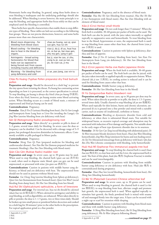Hemostatic herbs stop bleeding. In general, using these herbs alone to treat bleeding is inadequate and the underlying pathology should also be addressed. When bleeding is severe however, the main principle is to stop the bleeding, and appropriate herbs that focus solely on that can be employed until the bleeding is controlled.

These herbs have specific characteristics that enable them to stop different types of bleeding. These tables are laid out according to the following four groups. These are not precise distinctions, however, and some herbs possess more than one characteristic.

| Blood stasis dispersing - for<br>bleeding from blood stasis                                                                                              | chao pu huang, san gi, gian<br>cao gen, hua rui shi                                       |
|----------------------------------------------------------------------------------------------------------------------------------------------------------|-------------------------------------------------------------------------------------------|
| Blood cooling - for bleeding<br>due to heat in the blood or<br>organs.                                                                                   | xiao ji, da ji, di yu, huai hua<br>mi, ce bai ye, bai mao gen,<br>zhu ma gen, yang ti gen |
| Astringents - broad acting<br>hemostatics for blood that<br>leaks out (as opposed to<br>being forced out) from causes<br>including trauma and deficiency | bai ji, xian he cao, zi zhu,<br>zong lu pi, xue yu tan, ou<br>jie, tie xian cai, ji mu    |
| Warming - for bleeding from<br>yang deficiency and cold                                                                                                  | ai ye, pao jiang, zao xin tu                                                              |

#### Chǎo Pú Huáng (Typhae Pollen preparata) dry fried bulrush pollen

Preparation and usage Should be decocted in a cloth bag<sup>1</sup> to prevent the tiny spores from irritating the throat. Pu huang has contrasting action depending on how it is processed, so the correct specification is critical. To stop bleeding, pu huang is always dry fried (*chao pu huang* 炒蒲黄). Even when dry fried, however, pu huang retains some blood activating action. When bleeding occurs as a result of blood stasis, a mixture of unprocessed and fried pu huang can be used.

#### **Contraindications** Pregnancy.

**Formulae** *Xiao Ji Yin Zi* (urinary bleeding from heat); *Dai Ge San* (cough and hemoptysis from Lung heat or Liver fire invading the Lungs); *Gu Jing Wan* (uterine bleeding from yin deficiency with heat)

#### Sān Qī (Notoginseng Radix) pseudoginseng root

**Preparation and usage** Taken directly<sup>2</sup> as a powder or pills in doses of 1–3 grams, several times daily for bleeding. In severe cases the dose or frequency can be doubled. Can be decocted with a dosage range of 3–9 grams, but prolonged decoction diminishes its hemostatic effects. Commonly available as pills packaged in blister packs.

#### **Contraindications** Pregnancy.

**Formulae** *Sheng Tian Qi Pian* (prepared medicine for bleeding and cardiovascular disease); *Yun Nan Bai Yao* (famous prepared medicine for traumatic bleeding); *Hua Xue Dan* (bleeding with blood stasis)

#### Qiàn Cǎo Gēn (Rubiae Radix) madder root

**Preparation and usage** In severe cases, up to 30 grams may be used. When used to stop bleeding, the charred herb (*qian cao tan* 茜草炭) is used; when used to disperse static blood, qian cao gen can be used unprocessed, or processed with wine *(jiu qian cao* 酒茜草).

**Contraindications** Caution in patients with middle burner yang deficiency, or blood and yin deficiency with heat. The unprocessed form should not be used in patients without blood stasis.

**Formulae** *Gu Chong Tang* (uterine bleeding from Spleen qi deficiency); *Qian Gen San* (hematemesis from Stomach heat); *Qian Gen Wan*† (rectal bleeding from damp heat); *Shi Hui San* (bleeding from hot blood)

Huā Ruǐ Shí (Ophicalcitum) ophicalcite, a form of limestone **Preparation and usage** For internal use, hua rui shi should be calcined (*duan hua rui shi* 煅花蕊石).When calcined its astringency and ability to stop bleeding, as well as digestibility, are enhanced. When taken directly in pills or powder, the dose is 1–1.5 grams, two or three times daily. Should be broken up into small pieces or powdered before decoction and cooked in a cloth bag for 30 minutes<sup>3</sup> prior to the other herbs in the prescription. For topical application grind to a fine powder.

**13**

**Formulae** *Hua Rui Shi San* (bleeding from trauma); *Hua Rui Shi Bai Ji San* (hemoptysis with blood stasis); *Hua Xue Dan* (bleeding with an element of blood stasis)

#### Xiǎo Jì (Cirsii Herba) small thistle

**Preparation and usage** Do not cook longer than 15 minutes<sup>4</sup>. When the fresh herb is available, 30–60 grams per packet of herbs can be used. The fresh herb can also be juiced, with the juice taken internally or applied topically to suppurative sores and hemorrhoids. To treat bleeding from heat in the blood, hypertension or sores, the unprocessed herb is used; to stop bleeding from causes other than heat, the charred form (*xiao ji tan* 小蓟炭) is used.

**Contraindications** Caution in patients with Spleen qi deficiency, diarrhea and loss of appetite.

**Formulae** *Xiao Ji Yin Zi* (urinary bleeding from heat); *San Xian Yin* (hemoptysis from Lung yin deficiency); *Shi Hui San* (bleeding from heat in the blood)

#### Dà Jì (Cirsii japonici Herba sive Radix) Japanese thistle

**Preparation and usage** When the fresh herb is available, 30–60 grams per packet of herbs can be used. The fresh herb can also be juiced, with the juice taken internally or applied topically to suppurative lesions. When charred (*da ji tan* 大蓟炭), its cooling action is reduced and it can be used for bleeding from causes other that heat.

**Contraindications** Middle burner yang qi deficiency.

**Formulae** *Shi Hui San* (bleeding from heat in the blood)

#### Dì Yú (Sanguisorbae Radix) bloodwort root

**Preparation and usage** In severe cases, up to 30 grams per dose may be used. When taken directly as powder or in pills, the dose is 1.5–3 grams, several times daily. Usually charred to stop bleeding (*di yu tan* 地榆炭). When used topically for skin lesions, burns and chronic ulceration, unprocessed di yu is ground into a fine powder and mixed with a suitable carrier, such as sesame oil (traditional), sorbolene or honey.

**Contraindications** Bleeding or dysenteric disorder from cold and deficiency, or when there is substantial blood stasis. Not suitable for widespread burns, as excessive topical coverage and absorption may be associated with induction of liver damage and hepatitis. Not suitable alone in the early stages of heat type dysenteric disorder due to its sourness.

**Formulae** *Di Yu Gan Cao Tang* (rectal bleeding with abdominal pain); *Di Yu Wan* (incessant bloody dysentery from heat); *Huai Jiao Wan* (bleeding hemorrhoids); *Jing Wan Hong* (ointment for burns and non healing sores); *An Tai Yin* (threatened miscarriage from qi deficiency with heat); *Qin Jiao Bai Zhu Wan* (chronic constipation with bleeding, itchy hemorrhoids)

#### Huái Huā Mǐ (Sophorae Flos immaturus) pagoda tree bud

**Preparation and usage** To stop bleeding the charred herb is used (*huai hua tan* 槐花炭); to clear heat and cool the Liver, the unprocessed herb is used. The fruit of this plant, huái jiăo 槐角 (Sophorae Fructus) is similar and can be used interchangeably.

**Contraindications** Caution in patients with bleeding from middle burner yang deficiency or yin deficiency with heat. Huái jiăo 槐角 is contraindicated during pregnancy.

**Formulae** *Huai Hua San* (rectal bleeding, hemorrhoids from heat); *Hei Sheng San* (bleeding hemorrhoids)

#### Cè Bǎi Yè (Platycladi Cacumen) Chinese arborvitae leaf

Preparation and usage In severe cases, up to 30 grams can be used. When used to stop bleeding in general, the charred herb is used (*ce bai tan* 侧柏炭); to stop bleeding from heat, alleviate cough and promote hair growth, the unprocessed herb is used. When applied topically to stimulate hair growth, the finely powdered herb is mixed with sesame oil and massaged firmly into the target area. A layer can be secured with a night cap or scarf for retention while sleeping.

**Contraindications** Caution in patients with bleeding from blood stasis and those with middle burner yang deficiency.

**Formulae** *Si Sheng Wan* (bleeding from heat); *Bai Ye Tang* (bleeding from yang deficiency); *Wu Fa Wan* (alopecia following illness)

<sup>1</sup> Appendix 6, p.109

<sup>2</sup> Ibid.

<sup>3</sup> Ibid.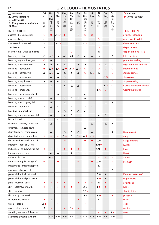## **2.2 BLOOD – HEMOSTATICS**

| $\Delta$ Indication<br>▲ Strong Indication<br>E External use<br><b>E</b> Strong external indication<br>M Moxa | Bai<br>Ji<br>白<br>及 | Xian<br>He<br>Cao<br>仙<br>鹤 | Zi<br>Zhu<br>紫<br>珠 | Zong<br>Lu<br>Pi<br>棕<br>榈 | Xue<br>Yu<br>Tan<br>血<br>余 | Ou<br>Jie<br>藕<br>节 | Tie<br>Xian<br>Cai<br>铁<br>苋 | Ji<br>Hua<br>檵<br>花              | Ai<br>Ye<br>艾<br>叶 | Pao<br>Jiang<br>炮<br>姜 | Zao<br>Xin<br>Tu<br>灶<br>心     | $\bigcirc$ Function<br>Strong Function |
|---------------------------------------------------------------------------------------------------------------|---------------------|-----------------------------|---------------------|----------------------------|----------------------------|---------------------|------------------------------|----------------------------------|--------------------|------------------------|--------------------------------|----------------------------------------|
|                                                                                                               |                     | 草                           |                     | 皮                          | 炭                          |                     | 菜                            |                                  |                    |                        | 土                              |                                        |
| <b>INDICATIONS</b><br>abscess - breast, mastitis                                                              | $\circ$             |                             | $\triangle$ EO      | $\bullet$                  |                            | $\circ$             | $\circ$                      | $\circ$                          |                    |                        |                                | <b>FUNCTIONS</b><br>astringes bleeding |
| abscess - Lung                                                                                                | Δ                   |                             |                     |                            |                            |                     |                              |                                  | $\circ$            |                        |                                | calms a restless fetus                 |
| abscesses & sores - skin                                                                                      | E                   |                             | $\triangle$ EO      |                            | $\Delta$                   |                     | E O                          | $\circ$                          |                    |                        |                                | clears toxic heat                      |
| anal fissure                                                                                                  | E                   |                             |                     |                            |                            |                     |                              |                                  | $\circ$            |                        |                                | disperses cold                         |
| bi syndrome - wind cold damp                                                                                  |                     |                             |                     |                            | $\circ$                    |                     |                              |                                  | M                  |                        |                                | disperses blood stasis                 |
| bleeding - epistaxis                                                                                          | Δ                   | $\triangle$ O               | Δ                   | $\Delta$ E                 | A E                        | $\Delta$            | Δ                            | Δ                                | Δ                  |                        | Δ                              | kills parasites                        |
| bleeding - gums & tongue                                                                                      | $\circ$             | Δ                           |                     | Δ                          |                            |                     |                              |                                  |                    |                        |                                | promotes healing                       |
| bleeding - hematemesis                                                                                        | ▲                   | Δ                           | ▲                   | Δ                          | $\Delta$                   | ▲                   | Δ                            |                                  | $\circ$            | $\Delta$               | Δ                              | regulates menstruation                 |
| bleeding - hematuria                                                                                          | $\bullet$           | $\Delta$ 0                  | $\triangle$ O       | $\Delta$ $\bullet$         | $\triangle$ O              | $\Delta$ O          | $\circ$                      | $\circ$                          | $\circ$            | $\circ$                | $\circ$                        | stops bleeding                         |
| bleeding - hemoptysis                                                                                         |                     | $\Delta$ O                  | ▲                   |                            | $\Delta$                   |                     | $\circ$                      | $\Delta$ O                       |                    |                        | $\circ$                        | stops diarrhea                         |
| bleeding - hemorrhoids                                                                                        | ▲                   |                             |                     | Δ                          |                            | ▲                   |                              |                                  | Δ                  | $\triangle$ O          |                                |                                        |
|                                                                                                               |                     | Δ                           | Δ                   | Δ                          |                            |                     |                              |                                  |                    |                        |                                | stops pain                             |
| bleeding - peptic ulcers                                                                                      | ▲                   | Δ                           | $\Delta$            | Δ                          | Δ                          | Δ                   |                              |                                  |                    |                        | $\circ$                        | stops vomiting                         |
| bleeding - postpartum                                                                                         |                     | ▲                           |                     | $\blacktriangle$           | Δ                          | $\Delta$            |                              |                                  |                    | $\triangle$ O          | $\circ$                        | warms the middle burner                |
| bleeding - pregnancy                                                                                          |                     |                             |                     |                            |                            |                     |                              |                                  | $\triangle$ O      | $\circ$                |                                | warms the uterus                       |
| bleeding - rectal; damp heat                                                                                  |                     |                             | Δ                   |                            |                            |                     | $\Delta$                     |                                  |                    |                        |                                |                                        |
| bleeding - rectal; qi def.                                                                                    |                     | ▲                           |                     | Δ                          | $\Delta$                   | $\Delta$            | $\Delta$                     |                                  |                    |                        |                                |                                        |
| bleeding - rectal; yang def.                                                                                  |                     | $\Delta$                    |                     | $\Delta$                   |                            |                     |                              |                                  |                    | $\Delta$               | $\blacktriangle$               |                                        |
| bleeding - traumatic                                                                                          | Е                   | Δ                           | E                   |                            | E                          |                     | E                            | E                                |                    |                        |                                |                                        |
| bleeding - uterine; heat                                                                                      |                     |                             | Δ                   | Δ                          | Δ                          | $\Delta$            | Δ                            |                                  |                    |                        |                                |                                        |
| bleeding - uterine; yang qi def.                                                                              |                     | $\blacktriangle$            |                     | ▲                          | Δ                          |                     |                              |                                  | ▲                  | Δ                      |                                |                                        |
| burns & scalds                                                                                                | E                   |                             | Ε                   |                            |                            |                     |                              | E                                |                    |                        |                                |                                        |
| diarrhea - chronic, Spleen def.                                                                               |                     | Δ                           |                     |                            |                            |                     |                              | Δ                                |                    | Δ                      | ▲                              |                                        |
| dysentery - amebic, acute                                                                                     |                     |                             |                     |                            |                            |                     | Δ                            |                                  |                    |                        |                                |                                        |
| dysenteric dis. - chronic; cold                                                                               |                     |                             |                     | Δ                          | $\Delta$                   | $\Delta$            |                              | $\triangle$                      |                    |                        | ▲                              | Domain $(*)$                           |
| dysenteric dis. - chronic; heat                                                                               | ٠                   | ÷                           | ٠                   | △◆                         | △                          | △◆                  | ▲※                           | △◆                               |                    |                        |                                | Lung                                   |
| dysmenorrhea - deficient, cold                                                                                |                     |                             |                     | $\Phi_{\mathbf{r}}$        |                            |                     | ٠                            | $\Phi_{\mathbf{p}}^{\mathbf{p}}$ | ΔМ                 |                        |                                | Large Intestine                        |
| infertility - deficient, cold                                                                                 |                     |                             |                     |                            |                            |                     |                              |                                  | ▲M ❖               |                        |                                | Kidney                                 |
| leukorrhea - cold damp; Kid. def.                                                                             | ٠                   | ÷                           | ٠                   | ÷                          | ٠                          | ÷                   | ÷                            |                                  | △M ❖               | ÷                      |                                | Liver                                  |
| lin syndrome - blood                                                                                          |                     | Δ                           | Δ                   | Δ                          | ▲                          | Δ                   | ٠                            |                                  |                    |                        |                                | Heart                                  |
| malarial disorder                                                                                             |                     | △◆                          |                     |                            |                            |                     |                              |                                  | ٠                  | ÷                      | ٠                              | Spleen                                 |
| menses - irregular; yang def.                                                                                 | ٠                   |                             | ٠                   |                            | ٠                          | ٠                   |                              | 壘                                | $\triangle M$      |                        | ٠                              | Stomach                                |
| miscarriage - threatened; cold                                                                                |                     |                             |                     |                            |                            |                     |                              |                                  | ▲                  |                        |                                |                                        |
| morning sickness - cold                                                                                       |                     |                             |                     |                            |                            |                     |                              |                                  |                    |                        | Δ                              |                                        |
| pain - abdominal; def., cold                                                                                  |                     |                             |                     |                            |                            |                     |                              |                                  | $\triangle M$      | $\blacktriangle$       |                                | Flavour, nature (*)                    |
| pain - abdominal postpartum                                                                                   |                     |                             |                     |                            |                            |                     |                              |                                  | △◆                 | $\blacktriangle$       |                                | slightly toxic                         |
| pain - musculoskeletal                                                                                        | ٠                   | ٠                           | ٠                   | ۰                          |                            | $\bullet$           | ٠                            | ۰                                | M                  | ۰                      |                                | astringent                             |
| skin - eczema, dermatitis                                                                                     | ٠                   | ۰                           | ٠                   | ۰                          | ۰                          |                     | $\triangle E$                | $\ddot{\bullet}$                 | E ◆                | ۰                      |                                | bitter                                 |
| skin - psoriasis                                                                                              |                     |                             |                     |                            |                            |                     | $\triangle E \bullet$        |                                  |                    |                        |                                | slightly bitter                        |
| skin - itchy damp rash                                                                                        |                     |                             |                     |                            |                            |                     | $\triangle E$                |                                  | $\triangle E$      |                        | ٠                              | pungent                                |
| trichomonas vaginitis                                                                                         | ٠                   | E                           |                     |                            |                            | ٠                   |                              |                                  | Ε                  |                        |                                | sweet                                  |
| ulcers - gastric                                                                                              | ▵◆                  |                             | ٠                   |                            |                            |                     | ٠                            |                                  |                    |                        |                                | cool                                   |
| ulcers - skin, chronic                                                                                        | Е                   | ۰                           |                     | $\blacklozenge$            | E◆                         | $\bullet$           |                              | ۰                                |                    |                        |                                | neutral                                |
| vomiting, nausea - Spleen def.                                                                                |                     |                             |                     |                            |                            |                     |                              |                                  | ٠                  | ٠                      | $\blacktriangle \blacklozenge$ | warm                                   |
| Standard dosage range (g)                                                                                     | $3 - 9$             |                             | $9 - 15$ 9 - 15     | $3 - 9$                    | $6 - 9$                    |                     | $9-15$ 15-30 6-9             |                                  | $3 - 9$            | $3 - 6$                | $15 - 30$                      |                                        |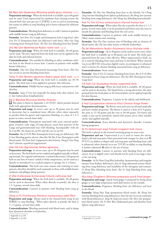#### Bái Máo Gēn (Imperatae Rhizoma) woolly grass rhizome ~ p.12

**Preparation and usage** When the fresh herb is available, up to 60 grams may be used. Used unprocessed for optimum heat clearing action; the charred herb (*bai mao gen tan* 白茅根炭) is not as cool or moistening, but retains its ability to stop bleeding and is better tolerated by deficient patients.

**Contraindications** Bleeding from deficiency or cold. Caution in patients with middle burner yang qi deficiency.

**Formulae** *San Xian Yin* (cough and hemoptysis from Lung heat); *Mao Gen Yin Zi* (hematuria from yin deficiency with heat); *Mao Gen Tang* (vomiting from Stomach heat); *Shi Hui San* (bleeding from hot blood)

#### Zhù Má Gēn (Boehmeriae Radix) ramie root ~ p.12

**Preparation and usage** When the fresh herb is available, 30–60 grams can be used. The juice squeezed from the fresh root can be applied to the skin for boils and infected lesions.

**Contraindications** Not suitable for bleeding or other conditions without heat in the blood or excess heat. Caution in patients with middle burner deficiency.

**Formulae** *Zhu Gen Tang* (threatened miscarriage from heat); *Zhu Gen San* (rectal or uterine bleeding from heat)

#### Yáng Tí Gēn (Rumex japonicus Radix) Japan dock root ~ p.12

**Preparation and usage** When the fresh herb is available use 30–50 grams. The fresh juice is best applied to parasitic skin infection.

**Contraindications** Middle burner yang qi deficiency and patterns with diarrhea.

**Formulae** *Yang Ti Gen San* (topically for damp itchy skin rashes); *Luo Li San* (tuberculous lymphadenitis)

#### Bái Jí (Bletillae Rhizoma) bletilla rhizome

 $\bullet$  This plant is listed in Appendix 2 of CITES<sup>1</sup> which permits limited trade with appropriate documentation.

**Preparation and usage** In severe cases up to 30 grams may be used in decoction, but is considered more effective when taken separately in powder form for gastric and respiratory bleeding, at a dose of 1.5–3 grams in water, several times daily.

**Contraindications** Hemoptysis associated with acute external pathogenic invasion; early stage of Lung abscess; excess heat patterns of the Lungs and gastrointestinal tract with bleeding. Incompatible<sup>2</sup> with zhi fu zi (p.88), zhi chuan wu (p.94) and zhi cao wu (p.94).

**Formulae** *Bai Ji Pi Pa Wan* (hemoptysis from Lung yin deficiency); *Bai Ji San* (bleeding gastric ulcers); *Hua Rui Shi Bai Ji San* (hemoptysis with blood stasis); *Nei Xiao San*† (suppurative skin lesions); *Sheng Ji Gan Nong San*† (chronic superficial suppuration)

#### Xiān Hè Cǎo (Agrimoniae Herba) agrimony

**Preparation and usage** In severe cases, up to 30–60 grams may be used in decoction. The fresh herb can be crushed and applied topically to bleeding wounds. For vaginal trichomonas, a strained decoction (120 grams of herb in one litre of water) cooled to body temperature, can be used as a douche or introduced via a soaked tampon or sponge, for 3–4 hours.

**Contraindications** This herb can cause nausea and vomiting in some patients, therefore should be used cautiously in those with middle burner weakness and phlegm damp patterns.

#### Zǐ Zhū (Callicarpae formosanae Folium) callicarpa leaf

**Preparation and usage** When the fresh herb is available, 30–60 grams can be used in decoction. When taken directly as powder, the dose is 1.5–3 grams, several times daily.

**Contraindications** Caution in patients with bleeding from yang qi deficiency.

#### Zōng Lǘ Pí (Trachycarpi Petiolus) trachycarpus palm fibre

**Preparation and usage** Always used in the charred form (*zong lu tan* 棕榈炭) to stop bleeding. When taken directly as powder the dose is 1–1.5 grams, several times daily.

**Contraindications** Bleeding associated with blood stasis, and in damp heat dysenteric disorder or leukorrhea.

**Formulae** *Shi Hui San* (bleeding from heat in the blood); *Gu Chong Tang* (uterine bleeding from Spleen qi deficiency); *Ru Sheng San* (uterine bleeding from yang deficiency); *Hei Sheng San* (bleeding hemorrhoids)

#### Xuè Yú Tàn (Crinus carbonisatus) charred human hair

**Preparation and usage** When taken directly as powder the dose is 1–1.5 grams, several times daily. Can be powdered and blown into the nose or mouth for epistaxis and bleeding from the oral cavity.

**Contraindications** Caution in patients with weak middle burner qi. Often causes nausea and vomiting.

**Formulae** *Hua Xue Dan* (various sites of bleeding with an element of blood stasis); *Bai Zhi San* (thin watery or bloody leukorrhea)

#### Ǒu Jié (Nelumbinis Nodus rhizomatis) lotus rhizome node

Preparation and usage Up to 30 grams can be used in severe cases; when the fresh herb is available up to 60 grams can be used. The fresh juice squeezed from the root is also effective. When unprocessed or fresh, ou jie is used for bleeding from stasis and heat in the blood. When charred (*ou jie tan* 藕节炭) it becomes slightly warm, its astringency is enhanced and it is better for chronic bleeding associated from yang qi deficiency. **Contraindications** None noted.

**Formulae** *Xiao Ji Yin Zi* (urinary bleeding from heat); *Bai Ji Pi Pa Wan* (hemoptysis from Lung yin deficiency); *Shu Xue Wan* (hemoptysis from Lung heat)

#### Tiě Xiàn Cài (Acalyphae Herba) copperleaf herb

**Preparation and usage** When the fresh herb is available, 30–60 grams can be used in decoction. The liquid from a strong decoction, the juice pressed from the fresh plant or the bruised plant can be applied topically for skin diseases.

**Contraindications** Pregnancy. Caution in the elderly and debilitated.

#### Jì Huā (Loropetalum chinensis Flos) Chinese fringe flower

**Preparation and usage** The flower, stem and roots are all used medically and have similar properties. The flower is used at a dose of 6–9 grams, the stem at 15–30 grams and the root at 30–60 grams. For burns and scalds, ji mu can be powdered, mixed with sesame oil or other suitable carrier and applied topically.

**Contraindications** Acute diarrhea and dysenteric disorder. Caution during pregnancy.

#### Ài Yè (Artemisiae argyi Folium) mugwort leaf, moxa

This herb is placed in the internal warming group in some texts.

**Preparation and use** Unprocessed ai ye is used to warm the uterus, dispel cold and stop pain; when processed with vinegar (*cu chao ai ye* 醋 炒艾叶) its ability to dispel cold, and stop pain and bleeding from cold is enhanced; when charred (*ai ye tan* 艾叶炭) its ability to stop bleeding is further enhanced. **M** refers to the use of moxa.

**Contraindications** Caution in patients with bleeding from yin deficiency. Ai ye is slightly toxic<sup>3</sup> and should not be used in too large a dose or for too long.

**Formulae** *Ai Fu Nuan Gong Wan* (infertility, dysmenorrhea and irregular menses from Kidney deficiency); *Jiao Ai Tang* (abnormal uterine bleeding from yang deficiency and instability of the chongmai and renmai); *Si Sheng Wan* (bleeding from heat); *Bai Ye Tang* (bleeding from yang deficiency)

#### Páo Jiāng (Zingiberis Rhizoma preparata) quick fried ginger **Preparation and usage** Quick fried ginger is prepared by frying dried

ginger at very high temperature until dark brown on the outside.

**Contraindications** Pregnancy, bleeding from yin deficiency and heat in the blood.

**Formulae** *Sheng Hua Tang* (postpartum blood stasis); *Ru Sheng San* (uterine bleeding from yang deficiency); *Xiao Yao San* (Liver qi constraint with blood deficiency); *Yang He Tang* (yin sores); *Hei Shen San* (postpartum blood stasis); *Da Yi Han Wan* (abdominal pain and diarrhea from Spleen yang deficiency)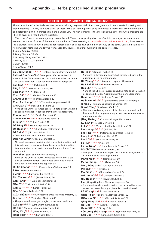#### **1.1 HERBS CONTRAINDICATED DURING PREGNANCY**

The main action of herbs likely to cause problems during pregnancy falls into three groups - 1. Blood stasis dispersing and blood breaking; 2. Bitter, cold purgatives, or those with a descending effect on qi and blood; 3. Herbs that promote urination and potentially diminish amniotic fluid and damage yin. The first trimester is the most sensitive time, and when problems are likely to occur as a result of herb ingestion.

The issue of herbs during pregnancy is complicated. There is a surprising diversity of opinion amongst the main sources, even on the status of some of the more common herbs. Texts asserting a contraindication are footnoted in red; those asserting a caution, in black. When a text is not represented it does not have an opinion one way or the other. Contraindications for herbs without footnotes are derived from secondary sources. The final number is the page reference.

1 *Zhong Yao Xue* (2000)

- 2 *Zhong Yao Xue* (1997)
- 3 *Shi Yong Zhong Yao Xue* (1985)
- 4 Bensky et al. (2004) 3rd ed.

5 Chen (2004)

6 Xu & Wang (2002)

| - Not used in therapeutic doses, but considered safe in the<br>Bái Huā Shé Shé Căo <sup>4, 6</sup> (Hedyotis diffusae Herba) 36<br>quantities used to season food.<br>- None of the Chinese sources consulted note either a caution<br>Hǔ Zhàng <sup>1, 2, 4, 5, 6</sup> (Polygoni cuspidati Rhizoma) 8<br>or contraindication. A caution may be more appropriate.<br>Huā Ruǐ Shí <sup>1, 2, 4, 5, 6</sup> (Ophicalcitum) 12<br><b>Bān Máo</b> <sup>1, 2, 3, 4, 5, 6 (Mylabris) 24</sup> |  |
|------------------------------------------------------------------------------------------------------------------------------------------------------------------------------------------------------------------------------------------------------------------------------------------------------------------------------------------------------------------------------------------------------------------------------------------------------------------------------------------|--|
|                                                                                                                                                                                                                                                                                                                                                                                                                                                                                          |  |
|                                                                                                                                                                                                                                                                                                                                                                                                                                                                                          |  |
|                                                                                                                                                                                                                                                                                                                                                                                                                                                                                          |  |
| Huá Shí <sup>4, 6</sup> (Talcum) 20                                                                                                                                                                                                                                                                                                                                                                                                                                                      |  |
| Bie Jiă <sup>1, 2, 4, 5, 6</sup> (Trionycis Carapax) 80<br>- None of the Chinese sources consulted note either a caution                                                                                                                                                                                                                                                                                                                                                                 |  |
| <b>Bing Piàn</b> <sup>1, 2, 4, 5, 6 (Borneol) 50</sup><br>or contraindication. A caution may be more appropriate.                                                                                                                                                                                                                                                                                                                                                                        |  |
| Chán Sū <sup>1, 2, 3, 4, 5, 6</sup> (Bufonis Venenum) 50<br>Huái Jiăo <sup>1, 2, 4, 5, 6</sup> (Sophorae Fructus) 13                                                                                                                                                                                                                                                                                                                                                                     |  |
| Cháng Shān <sup>1, 4, 6</sup> (Dichroeae Radix) 22<br>Huái Niú Xī <sup>1, 2, 3, 4, 5, 6</sup> (Achyranthis bidentatae Radix) 6                                                                                                                                                                                                                                                                                                                                                           |  |
| Chão Pú Huáng <sup>1, 2, 4, 5, 6</sup> (Typhae Pollen preparata) 12<br>Jí Xìng Zǐ (Impatiens balsamina Semen) 10                                                                                                                                                                                                                                                                                                                                                                         |  |
| Che Qián Zi <sup>4, 6</sup> (Plantaginis Semen) 18<br>Jī Xuè Téng <sup>5</sup> (Spatholobi Caulis) 6                                                                                                                                                                                                                                                                                                                                                                                     |  |
| - None of the Chinese sources consulted note either a caution<br>- The blood activating action of this herb is mild and well                                                                                                                                                                                                                                                                                                                                                             |  |
| or contraindication. A caution may be more appropriate.<br>balanced by its supplementing action, so a caution may be                                                                                                                                                                                                                                                                                                                                                                     |  |
| Chóng Lóu <sup>1, 2, 4, 5, 6</sup> (Paridis Rhizoma) 36<br>more appropriate.                                                                                                                                                                                                                                                                                                                                                                                                             |  |
| Chuān Niú Xī <sup>1, 2, 3, 4, 5, 6</sup> (Cyathulae Radix) 8<br>Jiāng Huáng <sup>4, 5</sup> (Curcumae longae Rhizoma) 8                                                                                                                                                                                                                                                                                                                                                                  |  |
| Cì Jí Lí <sup>1, 2, 4, 5, 6</sup> (Tribuli Fructus) 48<br>Kǔ Liàn Pí <sup>4</sup> (Meliae Cortex) 52                                                                                                                                                                                                                                                                                                                                                                                     |  |
| Dà Fēng Zǐ <sup>1, 4</sup> (Hydnocarpi Semen) 24<br>Lí Lú <sup>1, 2, 3, 4, 5</sup> (Veratri nigri Radix et Rhizoma) 22                                                                                                                                                                                                                                                                                                                                                                   |  |
| Dà Huáng <sup>1, 2, 3, 4, 5, 6</sup> (Rhei Radix et Rhizoma) 60<br>Liú Huáng <sup>1, 2, 3, 4, 5, 6</sup> (Sulphur) 24                                                                                                                                                                                                                                                                                                                                                                    |  |
| Dà Suàn <sup>2, 4, 5</sup> (Alli sativi Bulbus) 52<br>Liú Jì Nú <sup>1, 2, 4, 5, 6</sup> (Artemesiae anomalae Herba) 8                                                                                                                                                                                                                                                                                                                                                                   |  |
| - Contraindicated as a retention enema.<br>Lóng Kuí <sup>4</sup> (Solani nigri Herba) 86                                                                                                                                                                                                                                                                                                                                                                                                 |  |
| Dăn Nán Xīng <sup>5</sup> (Arisaema cum Bile) 58<br>Lòu Lú <sup>1, 3, 4, 6</sup> (Rhapontici Radix) 38                                                                                                                                                                                                                                                                                                                                                                                   |  |
| - Although no source explicitly states a contraindication and<br>Lú Huì <sup>1, 2, 3, 4, 5, 6</sup> (Aloe) 60<br>this substance is not considered toxic, a contraindication                                                                                                                                                                                                                                                                                                              |  |
| Lù Lù Tōng <sup>3, 4, 5, 6</sup> (Liquidambaris Fructus) 8<br>is prudent due to the toxic status of the parent herb (tian                                                                                                                                                                                                                                                                                                                                                                |  |
| Mă Chi Xiàn <sup>4</sup> (Portulacae Herba) 34<br>nan xing).                                                                                                                                                                                                                                                                                                                                                                                                                             |  |
| - This plant is consumed in parts of China as a vegetable. A<br>Dān Shēn <sup>4</sup> (Salviae miltiorrhizae Radix) 6                                                                                                                                                                                                                                                                                                                                                                    |  |
| caution may be more appropriate.<br>- None of the Chinese sources consulted note either a cau-                                                                                                                                                                                                                                                                                                                                                                                           |  |
| Máng Xiāo <sup>1, 2, 4, 5, 6</sup> (Natrii Sulfas) 60<br>tion or contraindication. Large doses should be avoided,                                                                                                                                                                                                                                                                                                                                                                        |  |
| Méng Chóng <sup>1, 2, 3, 4, 5</sup> (Tabanus) 10<br>but a caution may be more appropriate.                                                                                                                                                                                                                                                                                                                                                                                               |  |
| Míng Dăng Shēn <sup>4</sup> (Changii Radix) 58<br>Dì Biē Chóng <sup>1, 2, 3, 4, 5, 6</sup> (Eupolyphaga/Steleophaga) 10                                                                                                                                                                                                                                                                                                                                                                  |  |
| Mò Yaò <sup>1, 2, 4, 5, 6</sup> (Myrrha) 6<br><b>E Wèi<sup>1</sup></b> (Ferulae Resina) 30                                                                                                                                                                                                                                                                                                                                                                                               |  |
| Mù Biē Zǐ <sup>1, 2, 4, 5</sup> (Momordicae Semen) 24<br>$\mathsf{\acute{E}}$ Zhú <sup>1, 2, 4, 5, 6</sup> (Curcumae Rhizoma) 10<br>Mǔ Dān Pí <sup>1, 2, 3, 4, 5, 6</sup> (Moutan Cortex) 40                                                                                                                                                                                                                                                                                             |  |
| Fān Xiè Yè <sup>1, 2, 3, 4, 5, 6</sup> (Senna Folium) 60<br>Niú Huáng <sup>1, 2, 4, 5, 6</sup> (Bovis Calculus) 96                                                                                                                                                                                                                                                                                                                                                                       |  |
| Gān Jiāng <sup>3, 4, 5, 6</sup> (Zingiberis Rhizoma) 88<br>Páo Jiāng (Zingiberis Rhizoma preparata) 14                                                                                                                                                                                                                                                                                                                                                                                   |  |
| Gān Qī <sup>2, 5</sup> (Toxicodendri Resina) 10<br>- Not a traditional contraindication, but included here be-                                                                                                                                                                                                                                                                                                                                                                           |  |
| Gān Suì <sup>1, 2, 3, 4, 5, 6</sup> (Kansui Radix) 62<br>cause the parent herb, gan jiang, is contraindicated.                                                                                                                                                                                                                                                                                                                                                                           |  |
| Gūa Dì <sup>4</sup> (Melo Pedicellus) 22<br>Pú Húang <sup>1, 2, 4, 5, 6</sup> (Typhae Pollen) 8                                                                                                                                                                                                                                                                                                                                                                                          |  |
| Guàn Zhòng <sup>2, 3, 4, 5, 6</sup> (Dryopteridis crassirhizomae Rhizome) 52<br>Qiān Jīn Zǐ <sup>1, 2</sup> (Euphorbia lathyris Semen) 62                                                                                                                                                                                                                                                                                                                                                |  |
| Guī Băn <sup>1, 2, 4, 5, 6</sup> (Testudinis Plastrum) 80<br>Qiān Niú Zǐ <sup>1, 2, 3, 4, 5, 6</sup> (Pharbitidis Semen) 62                                                                                                                                                                                                                                                                                                                                                              |  |
| - The processed resin, gui ban jiao, is not contraindicated.<br>Qīng Méng Shí <sup>1, 2, 3, 4, 5</sup> (Chloriti Lapis) 58                                                                                                                                                                                                                                                                                                                                                               |  |
| Guì Zhī <sup>1, 2, 3, 4, 5, 6</sup> (Cinnamomi Ramulus) 26<br>Qú Mài <sup>1, 2, 3, 4, 5, 6</sup> (Dianthi Herba) 20                                                                                                                                                                                                                                                                                                                                                                      |  |
| Hè Shī <sup>1, 4</sup> (Carpesii abrotanoidis Fructus) 52<br>Quán Xiē <sup>1, 4, 5, 6</sup> (Scorpio) 96                                                                                                                                                                                                                                                                                                                                                                                 |  |
| Hóng Dà Jǐ <sup>1, 2, 3, 5</sup> (Knoxiae Radix) 62<br>Rén Gōng Shè Xiāng <sup>1, 2, 3, 4, 5, 6</sup> (Synthetic muscone) 50                                                                                                                                                                                                                                                                                                                                                             |  |
| Hóng Huā <sup>1, 2, 3, 4, 5, 6</sup> (Carthami Flos) 6<br>Ròu Guì <sup>1, 2, 3, 4, 5, 6</sup> (Cinnamomi Cortex) 88                                                                                                                                                                                                                                                                                                                                                                      |  |